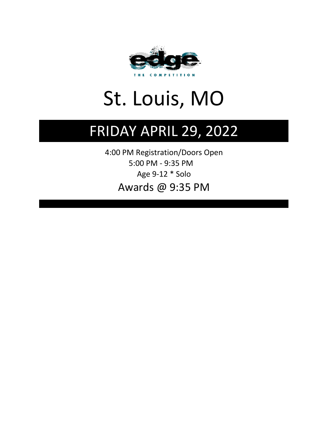

# St. Louis, MO

## FRIDAY APRIL 29, 2022

Awards @ 9:35 PM 5:00 PM - 9:35 PM 4:00 PM Registration/Doors Open Age 9-12 \* Solo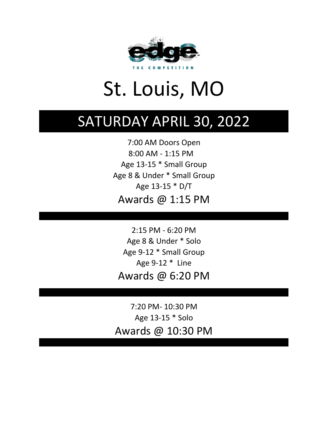

# St. Louis, MO

## SATURDAY APRIL 30, 2022

Age 13-15 \* Small Group Age 13-15 \* D/T 8:00 AM - 1:15 PM Awards @ 1:15 PM Age 8 & Under \* Small Group 7:00 AM Doors Open

Age 8 & Under \* Solo Age 9-12 \* Line Awards @ 6:20 PM Age 9-12 \* Small Group 2:15 PM - 6:20 PM

7:20 PM- 10:30 PM Age 13-15 \* Solo Awards @ 10:30 PM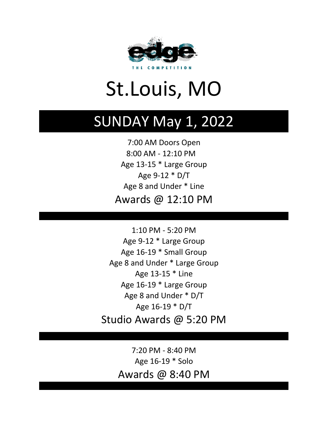

# St.Louis, MO

## SUNDAY May 1, 2022

Age 9-12 \* D/T 8:00 AM - 12:10 PM 7:00 AM Doors Open Awards @ 12:10 PM Age 13-15 \* Large Group Age 8 and Under \* Line

Age 16-19 \* Small Group Age 16-19 \* D/T Age 8 and Under \* Large Group Age 16-19 \* Large Group Age 13-15 \* Line Age 9-12 \* Large Group Age 8 and Under \* D/T Studio Awards @ 5:20 PM 1:10 PM - 5:20 PM

> Awards @ 8:40 PM 7:20 PM - 8:40 PM Age 16-19 \* Solo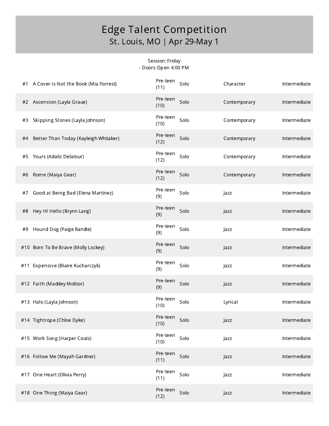#### Session: Friday - Doors Open 4:00 PM

| #1 A Cover Is Not the Book (Mia Forrest)    | Pre-teen<br>Solo<br>(11) | Character    | Intermediate |
|---------------------------------------------|--------------------------|--------------|--------------|
| #2 Ascension (Layla Graue)                  | Pre-teen<br>Solo<br>(10) | Contemporary | Intermediate |
| Skipping Stones (Layla Johnson)<br>#3       | Pre-teen<br>Solo<br>(10) | Contemporary | Intermediate |
| Better Than Today (Kayleigh Whitaker)<br>#4 | Pre-teen<br>Solo<br>(12) | Contemporary | Intermediate |
| Yours (Adaliz Delatour)<br>#5               | Pre-teen<br>Solo<br>(12) | Contemporary | Intermediate |
| Rome (Maiya Gear)<br>#6                     | Pre-teen<br>Solo<br>(12) | Contemporary | Intermediate |
| Good at Being Bad (Elena Martinez)<br>#7    | Pre-teen<br>Solo<br>(9)  | Jazz         | Intermediate |
| Hey HI Hello (Brynn Lang)<br>#8             | Pre-teen<br>Solo<br>(9)  | Jazz         | Intermediate |
| Hound Dog (Paige Randle)<br>#9              | Pre-teen<br>Solo<br>(9)  | Jazz         | Intermediate |
| #10 Born To Be Brave (Molly Lockey)         | Pre-teen<br>Solo<br>(9)  | Jazz         | Intermediate |
|                                             |                          |              |              |
| #11 Expensive (Blaire Kucharczyk)           | Pre-teen<br>Solo<br>(9)  | Jazz         | Intermediate |
| #12 Faith (Maddey Molitor)                  | Pre-teen<br>Solo<br>(9)  | Jazz         | Intermediate |
| #13 Halo (Layla Johnson)                    | Pre-teen<br>Solo<br>(10) | Lyrical      | Intermediate |
| #14 Tightrope (Chloe Dyke)                  | Pre-teen<br>Solo<br>(10) | Jazz         | Intermediate |
| #15 Work Song (Harper Couts)                | Pre-teen<br>Solo<br>(10) | Jazz         | Intermediate |
| #16 Follow Me (Mayah Gardner)               | Pre-teen<br>Solo<br>(11) | Jazz         | Intermediate |
| #17 One Heart (Olivia Perry)                | Pre-teen<br>Solo<br>(11) | Jazz         | Intermediate |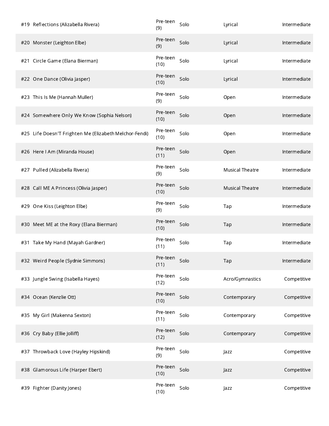| #19 Reflections (Alizabella Rivera)                    | Pre-teen<br>(9)  | Solo | Lyrical                | Intermediate |
|--------------------------------------------------------|------------------|------|------------------------|--------------|
| #20 Monster (Leighton Elbe)                            | Pre-teen<br>(9)  | Solo | Lyrical                | Intermediate |
| #21 Circle Game (Elana Bierman)                        | Pre-teen<br>(10) | Solo | Lyrical                | Intermediate |
| #22 One Dance (Olivia Jasper)                          | Pre-teen<br>(10) | Solo | Lyrical                | Intermediate |
| #23 This Is Me (Hannah Muller)                         | Pre-teen<br>(9)  | Solo | Open                   | Intermediate |
| #24 Somewhere Only We Know (Sophia Nelson)             | Pre-teen<br>(10) | Solo | Open                   | Intermediate |
| #25 Life Doesn'T Frighten Me (Elizabeth Melchor-Fendi) | Pre-teen<br>(10) | Solo | Open                   | Intermediate |
| #26 Here I Am (Miranda House)                          | Pre-teen<br>(11) | Solo | Open                   | Intermediate |
| #27 Pulled (Alizabella Rivera)                         | Pre-teen<br>(9)  | Solo | <b>Musical Theatre</b> | Intermediate |
| #28 Call ME A Princess (Olivia Jasper)                 | Pre-teen<br>(10) | Solo | <b>Musical Theatre</b> | Intermediate |
| #29 One Kiss (Leighton Elbe)                           | Pre-teen<br>(9)  | Solo | Tap                    | Intermediate |
| #30 Meet ME at the Roxy (Elana Bierman)                | Pre-teen<br>(10) | Solo | Tap                    | Intermediate |
| #31 Take My Hand (Mayah Gardner)                       | Pre-teen<br>(11) | Solo | Tap                    | Intermediate |
| #32 Weird People (Sydnie Simmons)                      | Pre-teen<br>(11) | Solo | Tap                    | Intermediate |
| #33 Jungle Swing (Isabella Hayes)                      | Pre-teen<br>(12) | Solo | Acro/Gymnastics        | Competitive  |
| #34 Ocean (Kenzlie Ott)                                | Pre-teen<br>(10) | Solo | Contemporary           | Competitive  |
| #35 My Girl (Makenna Sexton)                           | Pre-teen<br>(11) | Solo | Contemporary           | Competitive  |
| #36 Cry Baby (Ellie Jolliff)                           | Pre-teen<br>(12) | Solo | Contemporary           | Competitive  |
| #37 Throwback Love (Hayley Hipskind)                   | Pre-teen<br>(9)  | Solo | Jazz                   | Competitive  |
| #38 Glamorous Life (Harper Ebert)                      | Pre-teen<br>(10) | Solo | Jazz                   | Competitive  |
| #39 Fighter (Danity Jones)                             | Pre-teen<br>(10) | Solo | Jazz                   | Competitive  |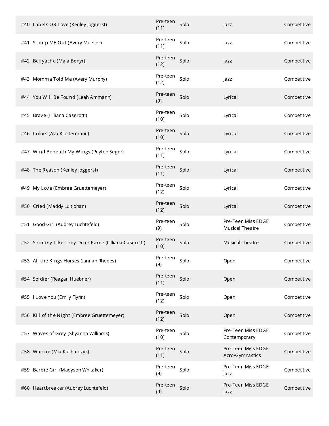| #40 Labels OR Love (Kenley Joggerst)                  | Pre-teen<br>(11) | Solo | Jazz                                  | Competitive |
|-------------------------------------------------------|------------------|------|---------------------------------------|-------------|
| #41 Stomp ME Out (Avery Mueller)                      | Pre-teen<br>(11) | Solo | Jazz                                  | Competitive |
| #42 Bellyache (Maia Benyr)                            | Pre-teen<br>(12) | Solo | Jazz                                  | Competitive |
| #43 Momma Told Me (Avery Murphy)                      | Pre-teen<br>(12) | Solo | Jazz                                  | Competitive |
| #44 You Will Be Found (Leah Ammann)                   | Pre-teen<br>(9)  | Solo | Lyrical                               | Competitive |
| #45 Brave (Lilliana Caserotti)                        | Pre-teen<br>(10) | Solo | Lyrical                               | Competitive |
| #46 Colors (Ava Klostermann)                          | Pre-teen<br>(10) | Solo | Lyrical                               | Competitive |
| #47 Wind Beneath My Wings (Peyton Seger)              | Pre-teen<br>(11) | Solo | Lyrical                               | Competitive |
| #48 The Reason (Kenley Joggerst)                      | Pre-teen<br>(11) | Solo | Lyrical                               | Competitive |
| #49 My Love (Embree Gruettemeyer)                     | Pre-teen<br>(12) | Solo | Lyrical                               | Competitive |
| #50 Cried (Maddy Luitjohan)                           | Pre-teen<br>(12) | Solo | Lyrical                               | Competitive |
| #51 Good Girl (Aubrey Luchtefeld)                     | Pre-teen<br>(9)  | Solo | Pre-Teen Miss EDGE<br>Musical Theatre | Competitive |
| #52 Shimmy Like They Do in Paree (Lilliana Caserotti) | Pre-teen<br>(10) | Solo | <b>Musical Theatre</b>                | Competitive |
| #53 All the Kings Horses (Jannah Rhodes)              | Pre-teen<br>(9)  | Solo | Open                                  | Competitive |
| #54 Soldier (Reagan Huebner)                          | Pre-teen<br>(11) | Solo | Open                                  | Competitive |
| #55 I Love You (Emily Flynn)                          | Pre-teen<br>(12) | Solo | Open                                  | Competitive |
| #56 Kill of the Night (Embree Gruettemeyer)           | Pre-teen<br>(12) | Solo | Open                                  | Competitive |
| #57 Waves of Grey (Shyanna Williams)                  | Pre-teen<br>(10) | Solo | Pre-Teen Miss EDGE<br>Contemporary    | Competitive |
| #58 Warrior (Mia Kucharczyk)                          | Pre-teen<br>(11) | Solo | Pre-Teen Miss EDGE<br>Acro/Gymnastics | Competitive |
| #59 Barbie Girl (Madyson Whitaker)                    | Pre-teen<br>(9)  | Solo | Pre-Teen Miss EDGE<br>Jazz            | Competitive |
| #60 Heartbreaker (Aubrey Luchtefeld)                  | Pre-teen<br>(9)  | Solo | Pre-Teen Miss EDGE<br>Jazz            | Competitive |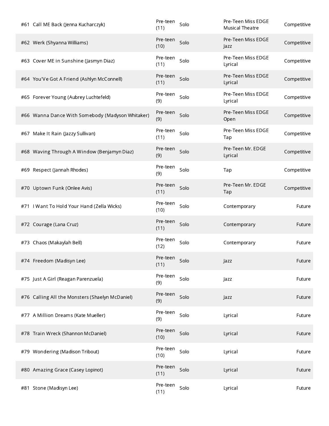| #61 Call ME Back (Jenna Kucharczyk)              | Pre-teen<br>(11) | Solo | Pre-Teen Miss EDGE<br><b>Musical Theatre</b> | Competitive |
|--------------------------------------------------|------------------|------|----------------------------------------------|-------------|
| #62 Werk (Shyanna Williams)                      | Pre-teen<br>(10) | Solo | Pre-Teen Miss EDGE<br>Jazz                   | Competitive |
| #63 Cover ME in Sunshine (Jasmyn Diaz)           | Pre-teen<br>(11) | Solo | Pre-Teen Miss EDGE<br>Lyrical                | Competitive |
| #64 You'Ve Got A Friend (Ashlyn McConnell)       | Pre-teen<br>(11) | Solo | Pre-Teen Miss EDGE<br>Lyrical                | Competitive |
| #65 Forever Young (Aubrey Luchtefeld)            | Pre-teen<br>(9)  | Solo | Pre-Teen Miss EDGE<br>Lyrical                | Competitive |
| #66 Wanna Dance With Somebody (Madyson Whitaker) | Pre-teen<br>(9)  | Solo | Pre-Teen Miss EDGE<br>Open                   | Competitive |
| #67 Make It Rain (Jazzy Sullivan)                | Pre-teen<br>(11) | Solo | Pre-Teen Miss EDGE<br>Tap                    | Competitive |
| #68 Waving Through A Window (Benjamyn Diaz)      | Pre-teen<br>(9)  | Solo | Pre-Teen Mr. EDGE<br>Lyrical                 | Competitive |
| #69 Respect (Jannah Rhodes)                      | Pre-teen<br>(9)  | Solo | Tap                                          | Competitive |
| #70 Uptown Funk (Onlee Avis)                     | Pre-teen<br>(11) | Solo | Pre-Teen Mr. EDGE<br>Tap                     | Competitive |
| #71   Want To Hold Your Hand (Zella Wicks)       | Pre-teen<br>(10) | Solo | Contemporary                                 | Future      |
| #72 Courage (Lana Cruz)                          | Pre-teen<br>(11) | Solo | Contemporary                                 | Future      |
| #73 Chaos (Makaylah Bell)                        | Pre-teen<br>(12) | Solo | Contemporary                                 | Future      |
| #74 Freedom (Madisyn Lee)                        | Pre-teen<br>(11) | Solo | Jazz                                         | Future      |
| #75 Just A Girl (Reagan Parenzuela)              | Pre-teen<br>(9)  | Solo | Jazz                                         | Future      |
| #76 Calling All the Monsters (Shaelyn McDaniel)  | Pre-teen<br>(9)  | Solo | Jazz                                         | Future      |
| #77 A Million Dreams (Kate Mueller)              | Pre-teen<br>(9)  | Solo | Lyrical                                      | Future      |
| #78 Train Wreck (Shannon McDaniel)               | Pre-teen<br>(10) | Solo | Lyrical                                      | Future      |
| #79 Wondering (Madison Tribout)                  | Pre-teen<br>(10) | Solo | Lyrical                                      | Future      |
| #80 Amazing Grace (Casey Lopinot)                | Pre-teen<br>(11) | Solo | Lyrical                                      | Future      |
| #81 Stone (Madisyn Lee)                          | Pre-teen<br>(11) | Solo | Lyrical                                      | Future      |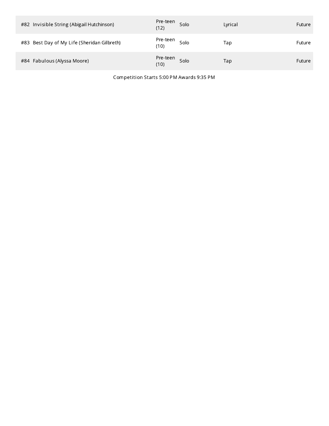| #82 Invisible String (Abigail Hutchinson)   | Pre-teen<br>(12) | Solo | Lyrical | Future |
|---------------------------------------------|------------------|------|---------|--------|
| #83 Best Day of My Life (Sheridan Gilbreth) | Pre-teen<br>(10) | Solo | Tap     | Future |
| #84 Fabulous (Alyssa Moore)                 | Pre-teen<br>(10) | Solo | Tap     | Future |

Competition Starts 5:00 PM Awards 9:35 PM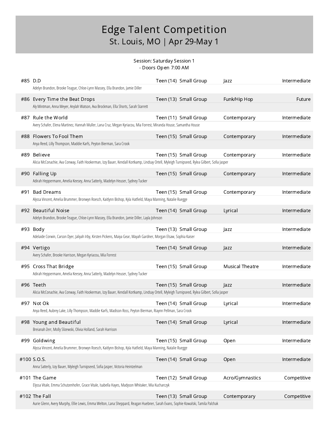#### Session: Saturday Session 1 - Doors Open 7:00 AM

| #85 D.D | Adelyn Brandon, Brooke Teague, Chloe-Lynn Massey, Ella Brandon, Jamie Diller                                                                               | Teen (14) Small Group | Jazz                   | Intermediate |
|---------|------------------------------------------------------------------------------------------------------------------------------------------------------------|-----------------------|------------------------|--------------|
|         | #86 Every Time the Beat Drops<br>Aly Mintman, Anna Meyer, Anylah Watson, Ava Brockman, Ella Shorts, Sarah Starrett                                         | Teen (13) Small Group | Funk/Hip Hop           | Future       |
| #87     | Rule the World<br>Avery Schafer, Elena Martinez, Hannah Muller, Lana Cruz, Megan Kyriacou, Mia Forrest, Miranda House, Samantha House                      | Teen (11) Small Group | Contemporary           | Intermediate |
| #88     | Flowers To Fool Them<br>Anya Reed, Lilly Thompson, Maddie Karfs, Peyton Bierman, Sara Crook                                                                | Teen (15) Small Group | Contemporary           | Intermediate |
| #89     | Believe<br>Alicia McConachie, Ava Conway, Faith Hookerman, Izzy Bauer, Kendall Kortkamp, Lindsay Ortell, Myleigh Turnipseed, Rylea Gilbert, Sofia Jasper   | Teen (15) Small Group | Contemporary           | Intermediate |
| #90     | Falling Up<br>Adirah Heppermann, Amelia Keesey, Anna Satterly, Madelyn Heuser, Sydney Tucker                                                               | Teen (15) Small Group | Contemporary           | Intermediate |
| #91     | Bad Dreams<br>Alyssa Vincent, Amelia Brummer, Bronwyn Roesch, Kaitlynn Bishop, Kyla Hatfield, Maya Manning, Natalie Ruegge                                 | Teen (15) Small Group | Contemporary           | Intermediate |
|         | #92 Beautiful Noise<br>Adelyn Brandon, Brooke Teague, Chloe-Lynn Massey, Ella Brandon, Jamie Diller, Layla Johnson                                         | Teen (14) Small Group | Lyrical                | Intermediate |
|         | #93 Body<br>Adelaide Corwin, Carson Dyer, Jaliyah Irby, Kirsten Pickens, Maiya Gear, Mayah Gardner, Morgan Elsaw, Sophia Kaiser                            | Teen (13) Small Group | Jazz                   | Intermediate |
|         | #94 Vertigo<br>Avery Schafer, Brooke Harrison, Megan Kyriacou, Mia Forrest                                                                                 | Teen (14) Small Group | Jazz                   | Intermediate |
|         | #95 Cross That Bridge<br>Adirah Heppermann, Amelia Keesey, Anna Satterly, Madelyn Heuser, Sydney Tucker                                                    | Teen (15) Small Group | <b>Musical Theatre</b> | Intermediate |
|         | #96 Teeth<br>Alicia McConachie, Ava Conway, Faith Hookerman, Izzy Bauer, Kendall Kortkamp, Lindsay Ortell, Myleigh Turnipseed, Rylea Gilbert, Sofia Jasper | Teen (15) Small Group | <b>Jazz</b>            | Intermediate |
|         | #97 Not Ok<br>Anya Reed, Aubrey Lake, Lilly Thompson, Maddie Karfs, Madison Ross, Peyton Bierman, Riaynn Pellman, Sara Crook                               | Teen (14) Small Group | Lyrical                | Intermediate |
|         | #98 Young and Beautiful<br>Breianah Zerr, Molly Slizewski, Olivia Holland, Sarah Harrison                                                                  | Teen (14) Small Group | Lyrical                | Intermediate |
|         | #99 Goldwing<br>Alyssa Vincent, Amelia Brummer, Bronwyn Roesch, Kaitlynn Bishop, Kyla Hatfield, Maya Manning, Natalie Ruegge                               | Teen (15) Small Group | Open                   | Intermediate |
|         | #100 S.O.S.<br>Anna Satterly, Izzy Bauer, Myleigh Turnipseed, Sofia Jasper, Victoria Heintzelman                                                           | Teen (14) Small Group | Open                   | Intermediate |
|         | #101 The Game<br>Elyssa Vitale, Emma Schutzenhofer, Grace Vitale, Isabella Hayes, Madyson Whitaker, Mia Kucharczyk                                         | Teen (12) Small Group | Acro/Gymnastics        | Competitive  |
|         | #102 The Fall<br>Aurie Glenn, Avery Murphy, Ellie Lewis, Emma Welton, Lana Sheppard, Reagan Huebner, Sarah Evans, Sophie Kowalski, Tamila Palchak          | Teen (13) Small Group | Contemporary           | Competitive  |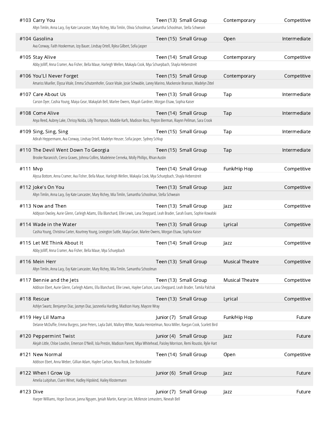|               | #103 Carry You<br>Altyn Timlin, Anna Lacy, Evy Kate Lancaster, Mary Richey, Mia Timlin, Olivia Schoolman, Samantha Schoolman, Stella Schweain                    | Teen (13) Small Group  | Contemporary           | Competitive  |
|---------------|------------------------------------------------------------------------------------------------------------------------------------------------------------------|------------------------|------------------------|--------------|
| #104 Gasolina | Ava Conway, Faith Hookerman, Izzy Bauer, Lindsay Ortell, Rylea Gilbert, Sofia Jasper                                                                             | Teen (15) Small Group  | Open                   | Intermediate |
|               | #105 Stay Alive<br>Abby Jolliff, Anna Cramer, Ava Fisher, Bella Maue, Harleigh Wellen, Makayla Cook, Mya Schuepbach, Shayla Hebenstreit                          | Teen (14) Small Group  | Contemporary           | Competitive  |
|               | #106 You'Ll Never Forget<br>Amariss Mueller, Elyssa Vitale, Emma Schutzenhofer, Grace Vitale, Josie Schwable, Laney Marino, Mackenzie Branson, Madelyn Zittel    | Teen (15) Small Group  | Contemporary           | Competitive  |
|               | #107 Care About Us<br>Carson Dyer, Cashia Young, Maiya Gear, Makaylah Bell, Marlee Owens, Mayah Gardner, Morgan Elsaw, Sophia Kaiser                             | Teen (13) Small Group  | Tap                    | Intermediate |
|               | #108 Come Alive<br>Anya Reed, Aubrey Lake, Chrissy Nolda, Lilly Thompson, Maddie Karfs, Madison Ross, Peyton Bierman, Riaynn Pellman, Sara Crook                 | Teen (14) Small Group  | Tap                    | Intermediate |
|               | #109 Sing, Sing, Sing<br>Adirah Heppermann, Ava Conway, Lindsay Ortell, Madelyn Heuser, Sofia Jasper, Sydney Schlup                                              | Teen (15) Small Group  | Tap                    | Intermediate |
|               | #110 The Devil Went Down To Georgia<br>Brooke Narancich, Cierra Graves, Johnna Collins, Madeleine Cerneka, Molly Phillips, Rhian Austin                          | Teen (15) Small Group  | Tap                    | Intermediate |
| #111 Mvp      | Alyssa Bottom, Anna Cramer, Ava Fisher, Bella Maue, Harleigh Wellen, Makayla Cook, Mya Schuepbach, Shayla Hebenstreit                                            | Teen (14) Small Group  | Funk/Hip Hop           | Competitive  |
|               | #112 Joke's On You<br>Altyn Timlin, Anna Lacy, Evy Kate Lancaster, Mary Richey, Mia Timlin, Samantha Schoolman, Stella Schweain                                  | Teen (13) Small Group  | Jazz                   | Competitive  |
|               | #113 Now and Then<br>Addyson Owsley, Aurie Glenn, Carleigh Adams, Ella Blanchard, Ellie Lewis, Lana Sheppard, Leah Brader, Sarah Evans, Sophie Kowalski          | Teen (13) Small Group  | Jazz                   | Competitive  |
|               | #114 Wade in the Water<br>Cashia Young, Christina Carter, Kourtney Young, Lexington Suttle, Maiya Gear, Marlee Owens, Morgan Elsaw, Sophia Kaiser                | Teen (13) Small Group  | Lyrical                | Competitive  |
|               | #115 Let ME Think About It<br>Abby Jolliff, Anna Cramer, Ava Fisher, Bella Maue, Mya Schuepbach                                                                  | Teen (14) Small Group  | Jazz                   | Competitive  |
|               | #116 Mein Herr<br>Altyn Timlin, Anna Lacy, Evy Kate Lancaster, Mary Richey, Mia Timlin, Samantha Schoolman                                                       | Teen (13) Small Group  | <b>Musical Theatre</b> | Competitive  |
|               | #117 Bennie and the Jets<br>Addison Ebert, Aurie Glenn, Carleigh Adams, Ella Blanchard, Ellie Lewis, Haylee Carlson, Lana Sheppard, Leah Brader, Tamila Palchak  | Teen (13) Small Group  | <b>Musical Theatre</b> | Competitive  |
| #118 Rescue   | Ashlyn Swartz, Benjamyn Diaz, Jasmyn Diaz, Jazsneelia Harding, Madison Huey, Maycee Wray                                                                         | Teen (13) Small Group  | Lyrical                | Competitive  |
|               | #119 Hey Lil Mama<br>Delanie McDuffie, Emma Burgess, Janie Peters, Layla Dahl, Mallory White, Natalia Heintzelman, Nora Miller, Raegan Cook, Scarlett Bird       | Junior (7) Small Group | Funk/Hip Hop           | Future       |
|               | #120 Peppermint Twist<br>Alejah Little, Chloe Lovshin, Emerson O'Neill, Isla Prestin, Madison Parent, Miya Whitehead, Paisley Morrison, Remi Roustio, Rylie Hart | Junior (4) Small Group | Jazz                   | Future       |
|               | #121 New Normal<br>Addison Ebert, Anna Weber, Gillian Adam, Haylee Carlson, Nora Rook, Zoe Bockstadter                                                           | Teen (14) Small Group  | Open                   | Competitive  |
|               | #122 When I Grow Up<br>Amelia Luitjohan, Claire Winet, Hadley Hipskind, Hailey Klostermann                                                                       | Junior (6) Small Group | Jazz                   | Future       |
| #123 Dive     |                                                                                                                                                                  | Junior (7) Small Group | Jazz                   | Future       |

Harper Williams, Hope Duncan, Janna Nguyen, Jyniah Martin, Karsyn Lee, McKenzie Lemasters, Neveah Bell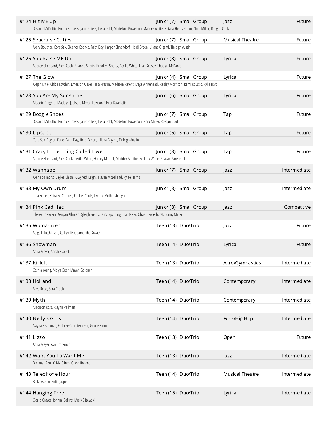| #124 Hit ME Up<br>Delanie McDuffie, Emma Burgess, Janie Peters, Layla Dahl, Madelynn Powelson, Mallory White, Natalia Heintzelman, Nora Miller, Raegan Cook |                    | Junior (7) Small Group | Jazz                   | Future       |
|-------------------------------------------------------------------------------------------------------------------------------------------------------------|--------------------|------------------------|------------------------|--------------|
| #125 Seacruise Cuties                                                                                                                                       |                    | Junior (7) Small Group | <b>Musical Theatre</b> | Future       |
| Avery Boucher, Cora Stix, Eleanor Coonce, Faith Day, Harper Elmendorf, Heidi Breen, Liliana Giganti, Tinleigh Austin                                        |                    |                        |                        |              |
| #126 You Raise ME Up                                                                                                                                        |                    | Junior (8) Small Group | Lyrical                | Future       |
| Aubree Sheppard, Axell Cook, Brianna Shorts, Brooklyn Shorts, Cecilia White, Lilah Keesey, Shaelyn McDaniel                                                 |                    |                        |                        |              |
| #127 The Glow<br>Alejah Little, Chloe Lovshin, Emerson O'Neill, Isla Prestin, Madison Parent, Miya Whitehead, Paisley Morrison, Remi Roustio, Rylie Hart    |                    | Junior (4) Small Group | Lyrical                | Future       |
| #128 You Are My Sunshine                                                                                                                                    |                    | Junior (6) Small Group | Lyrical                | Future       |
| Maddie Draghici, Madelyn Jackson, Megan Lawson, Skylar Ravellette                                                                                           |                    |                        |                        |              |
| #129 Boogie Shoes                                                                                                                                           |                    | Junior (7) Small Group | Tap                    | Future       |
| Delanie McDuffie, Emma Burgess, Janie Peters, Layla Dahl, Madelynn Powelson, Nora Miller, Raegan Cook                                                       |                    |                        |                        |              |
| #130 Lipstick                                                                                                                                               |                    | Junior (6) Small Group | Tap                    | Future       |
| Cora Stix, Deyton Kette, Faith Day, Heidi Breen, Liliana Giganti, Tinleigh Austin                                                                           |                    |                        |                        |              |
| #131 Crazy Little Thing Called Love                                                                                                                         |                    | Junior (8) Small Group | Tap                    | Future       |
| Aubree Sheppard, Axell Cook, Cecilia White, Hadley Martell, Maddey Molitor, Mallory White, Reagan Parenzuela                                                |                    |                        |                        |              |
| #132 Wannabe<br>Averie Salmons, Baylee Chism, Gwyneth Bright, Haven McLelland, Rylee Harris                                                                 |                    | Junior (7) Small Group | <b>Jazz</b>            | Intermediate |
| #133 My Own Drum                                                                                                                                            |                    | Junior (8) Small Group | Jazz                   | Intermediate |
| Julia Scoles, Keira McConnell, Kimber Couts, Lynnex Mothersbaugh                                                                                            |                    |                        |                        |              |
| #134 Pink Cadillac                                                                                                                                          |                    | Junior (8) Small Group | Jazz                   | Competitive  |
| Ellerey Eberwein, Kerigan Athmer, Kyleigh Fields, Laina Spalding, Lila Beiser, Olivia Herderhorst, Sunny Miller                                             |                    |                        |                        |              |
| #135 Womanizer                                                                                                                                              | Teen (13) Duo/Trio |                        | Jazz                   | Future       |
| Abigail Hutchinson, Caihya Fisk, Samantha Kovath                                                                                                            |                    |                        |                        |              |
| #136 Snowman<br>Anna Meyer, Sarah Starrett                                                                                                                  | Teen (14) Duo/Trio |                        | Lyrical                | Future       |
| #137 Kick It                                                                                                                                                | Teen (13) Duo/Trio |                        | Acro/Gymnastics        | Intermediate |
| Cashia Young, Maiya Gear, Mayah Gardner                                                                                                                     |                    |                        |                        |              |
| #138 Holland                                                                                                                                                | Teen (14) Duo/Trio |                        | Contemporary           | Intermediate |
| Anya Reed, Sara Crook                                                                                                                                       |                    |                        |                        |              |
| #139 Myth                                                                                                                                                   | Teen (14) Duo/Trio |                        | Contemporary           | Intermediate |
| Madison Ross, Riaynn Pellman                                                                                                                                |                    |                        |                        |              |
| #140 Nelly's Girls<br>Alayna Seabaugh, Embree Gruettemeyer, Gracie Simone                                                                                   | Teen (14) Duo/Trio |                        | Funk/Hip Hop           | Intermediate |
|                                                                                                                                                             |                    |                        |                        |              |
| #141 Lizzo<br>Anna Meyer, Ava Brockman                                                                                                                      | Teen (13) Duo/Trio |                        | Open                   | Future       |
| #142 Want You To Want Me                                                                                                                                    | Teen (13) Duo/Trio |                        | Jazz                   | Intermediate |
| Breianah Zerr, Olivia Clines, Olivia Holland                                                                                                                |                    |                        |                        |              |
| #143 Telephone Hour                                                                                                                                         | Teen (14) Duo/Trio |                        | <b>Musical Theatre</b> | Intermediate |
| Bella Mason, Sofia Jasper                                                                                                                                   |                    |                        |                        |              |
| #144 Hanging Tree<br>Cierra Graves, Johnna Collins, Molly Slizewski                                                                                         | Teen (15) Duo/Trio |                        | Lyrical                | Intermediate |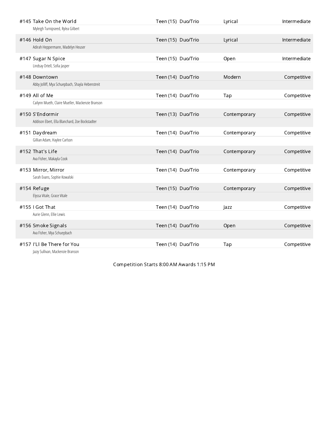| #145 Take On the World                           | Teen (15) Duo/Trio | Lyrical      | Intermediate |
|--------------------------------------------------|--------------------|--------------|--------------|
| Myleigh Turnipseed, Rylea Gilbert                |                    |              |              |
| #146 Hold On                                     | Teen (15) Duo/Trio | Lyrical      | Intermediate |
| Adirah Heppermann, Madelyn Heuser                |                    |              |              |
| #147 Sugar N Spice                               | Teen (15) Duo/Trio | Open         | Intermediate |
| Lindsay Ortell, Sofia Jasper                     |                    |              |              |
| #148 Downtown                                    | Teen (14) Duo/Trio | Modern       | Competitive  |
| Abby Jolliff, Mya Schuepbach, Shayla Hebenstreit |                    |              |              |
| #149 All of Me                                   | Teen (14) Duo/Trio | Tap          | Competitive  |
| Cailynn Mueth, Claire Mueller, Mackenzie Branson |                    |              |              |
| #150 S'Endormir                                  | Teen (13) Duo/Trio | Contemporary | Competitive  |
| Addison Ebert, Ella Blanchard, Zoe Bockstadter   |                    |              |              |
| #151 Daydream                                    | Teen (14) Duo/Trio | Contemporary | Competitive  |
| Gillian Adam, Haylee Carlson                     |                    |              |              |
| #152 That's Life                                 | Teen (14) Duo/Trio | Contemporary | Competitive  |
| Ava Fisher, Makayla Cook                         |                    |              |              |
| #153 Mirror, Mirror                              | Teen (14) Duo/Trio | Contemporary | Competitive  |
| Sarah Evans, Sophie Kowalski                     |                    |              |              |
| #154 Refuge                                      | Teen (15) Duo/Trio | Contemporary | Competitive  |
| Elyssa Vitale, Grace Vitale                      |                    |              |              |
| #155 I Got That                                  | Teen (14) Duo/Trio | Jazz         | Competitive  |
| Aurie Glenn, Ellie Lewis                         |                    |              |              |
| #156 Smoke Signals                               | Teen (14) Duo/Trio | Open         | Competitive  |
| Ava Fisher, Mya Schuepbach                       |                    |              |              |
| #157 I'Ll Be There for You                       | Teen (14) Duo/Trio | Tap          | Competitive  |
| Lazzu Culliuan, Mackonzio Prancon                |                    |              |              |

Jazzy Sullivan, Mackenzie Branson

Competition Starts 8:00 AM Awards 1:15 PM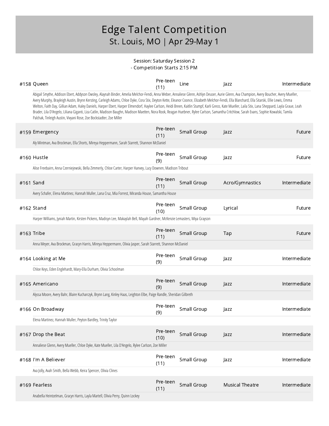#### Session: Saturday Session 2 - Competition Starts 2:15 PM

|           | #158 Queen                                                                                                                                                                                                                                                                                                                                                                                                                                                                                                                                                                                                                                                                                                                                                                                                                                                             | Pre-teen<br>(11) | Line        | Jazz                   | Intermediate |
|-----------|------------------------------------------------------------------------------------------------------------------------------------------------------------------------------------------------------------------------------------------------------------------------------------------------------------------------------------------------------------------------------------------------------------------------------------------------------------------------------------------------------------------------------------------------------------------------------------------------------------------------------------------------------------------------------------------------------------------------------------------------------------------------------------------------------------------------------------------------------------------------|------------------|-------------|------------------------|--------------|
|           | Abigail Smythe, Addison Ebert, Addyson Owsley, Alaynah Binder, Amelia Melchor-Fendi, Anna Weber, Annaliese Glenn, Ashlyn Deuser, Aurie Glenn, Ava Champion, Avery Boucher, Avery Mueller,<br>Avery Murphy, Brayleigh Austin, Brynn Kersting, Carleigh Adams, Chloe Dyke, Cora Stix, Deyton Kette, Eleanor Coonce, Elizabeth Melchor-Fendi, Ella Blanchard, Ella Sitarski, Ellie Lewis, Emma<br>Welton, Faith Day, Gillian Adam, Haley Daniels, Harper Ebert, Harper Elmendorf, Haylee Carlson, Heidi Breen, Kaitlin Stumpf, Karli Greco, Kate Mueller, Laila Stix, Lana Sheppard, Layla Graue, Leah<br>Brader, Lila D'Angelo, Liliana Giganti, Liza Catlin, Madison Baughn, Madison Maetten, Nora Rook, Reagan Huebner, Rylee Carlson, Samantha Critchlow, Sarah Evans, Sophie Kowalski, Tamila<br>Palchak, Tinleigh Austin, Vivyani Rose, Zoe Bockstadter, Zoe Miller |                  |             |                        |              |
|           | #159 Emergency                                                                                                                                                                                                                                                                                                                                                                                                                                                                                                                                                                                                                                                                                                                                                                                                                                                         | Pre-teen<br>(11) | Small Group | Jazz                   | Future       |
|           | Aly Mintman, Ava Brockman, Ella Shorts, Mireya Heppermann, Sarah Starrett, Shannon McDaniel                                                                                                                                                                                                                                                                                                                                                                                                                                                                                                                                                                                                                                                                                                                                                                            |                  |             |                        |              |
|           | #160 Hustle                                                                                                                                                                                                                                                                                                                                                                                                                                                                                                                                                                                                                                                                                                                                                                                                                                                            | Pre-teen<br>(9)  | Small Group | Jazz                   | Future       |
|           | Alise Freebairn, Anna Czerniejewski, Bella Zimmerly, Chloe Carter, Harper Hanvey, Lucy Downen, Madison Tribout                                                                                                                                                                                                                                                                                                                                                                                                                                                                                                                                                                                                                                                                                                                                                         |                  |             |                        |              |
| #161 Sand |                                                                                                                                                                                                                                                                                                                                                                                                                                                                                                                                                                                                                                                                                                                                                                                                                                                                        | Pre-teen<br>(11) | Small Group | Acro/Gymnastics        | Intermediate |
|           | Avery Schafer, Elena Martinez, Hannah Muller, Lana Cruz, Mia Forrest, Miranda House, Samantha House                                                                                                                                                                                                                                                                                                                                                                                                                                                                                                                                                                                                                                                                                                                                                                    |                  |             |                        |              |
|           | #162 Stand                                                                                                                                                                                                                                                                                                                                                                                                                                                                                                                                                                                                                                                                                                                                                                                                                                                             | Pre-teen<br>(10) | Small Group | Lyrical                | Future       |
|           | Harper Williams, Jyniah Martin, Kirsten Pickens, Madisyn Lee, Makaylah Bell, Mayah Gardner, McKenzie Lemasters, Miya Grayson                                                                                                                                                                                                                                                                                                                                                                                                                                                                                                                                                                                                                                                                                                                                           |                  |             |                        |              |
|           | #163 Tribe                                                                                                                                                                                                                                                                                                                                                                                                                                                                                                                                                                                                                                                                                                                                                                                                                                                             | Pre-teen<br>(11) | Small Group | Tap                    | Future       |
|           | Anna Meyer, Ava Brockman, Gracyn Harris, Mireya Heppermann, Olivia Jasper, Sarah Starrett, Shannon McDaniel                                                                                                                                                                                                                                                                                                                                                                                                                                                                                                                                                                                                                                                                                                                                                            |                  |             |                        |              |
|           | #164 Looking at Me                                                                                                                                                                                                                                                                                                                                                                                                                                                                                                                                                                                                                                                                                                                                                                                                                                                     | Pre-teen<br>(9)  | Small Group | Jazz                   | Intermediate |
|           | Chloe Keys, Eden Englehardt, Mary-Ella Durham, Olivia Schoolman                                                                                                                                                                                                                                                                                                                                                                                                                                                                                                                                                                                                                                                                                                                                                                                                        |                  |             |                        |              |
|           | #165 Americano                                                                                                                                                                                                                                                                                                                                                                                                                                                                                                                                                                                                                                                                                                                                                                                                                                                         | Pre-teen<br>(9)  | Small Group | Jazz                   | Intermediate |
|           | Alyssa Moore, Avery Bahr, Blaire Kucharczyk, Brynn Lang, Kinley Haas, Leighton Elbe, Paige Randle, Sheridan Gilbreth                                                                                                                                                                                                                                                                                                                                                                                                                                                                                                                                                                                                                                                                                                                                                   |                  |             |                        |              |
|           | #166 On Broadway                                                                                                                                                                                                                                                                                                                                                                                                                                                                                                                                                                                                                                                                                                                                                                                                                                                       | Pre-teen<br>(9)  | Small Group | Jazz                   | Intermediate |
|           | Elena Martinez, Hannah Muller, Peyton Bardley, Trinity Taylor                                                                                                                                                                                                                                                                                                                                                                                                                                                                                                                                                                                                                                                                                                                                                                                                          |                  |             |                        |              |
|           | #167 Drop the Beat                                                                                                                                                                                                                                                                                                                                                                                                                                                                                                                                                                                                                                                                                                                                                                                                                                                     | Pre-teen<br>(10) | Small Group | Jazz                   | Intermediate |
|           | Annaliese Glenn, Avery Mueller, Chloe Dyke, Kate Mueller, Lila D'Angelo, Rylee Carlson, Zoe Miller                                                                                                                                                                                                                                                                                                                                                                                                                                                                                                                                                                                                                                                                                                                                                                     |                  |             |                        |              |
|           | #168 I'm A Believer                                                                                                                                                                                                                                                                                                                                                                                                                                                                                                                                                                                                                                                                                                                                                                                                                                                    | Pre-teen<br>(11) | Small Group | Jazz                   | Intermediate |
|           | Ava Jolly, Avah Smith, Bella Webb, Keira Spencer, Olivia Clines                                                                                                                                                                                                                                                                                                                                                                                                                                                                                                                                                                                                                                                                                                                                                                                                        |                  |             |                        |              |
|           | #169 Fearless                                                                                                                                                                                                                                                                                                                                                                                                                                                                                                                                                                                                                                                                                                                                                                                                                                                          | Pre-teen<br>(11) | Small Group | <b>Musical Theatre</b> | Intermediate |
|           | Anabella Heintzelman, Gracyn Harris, Layla Martell, Olivia Perry, Quinn Lockey                                                                                                                                                                                                                                                                                                                                                                                                                                                                                                                                                                                                                                                                                                                                                                                         |                  |             |                        |              |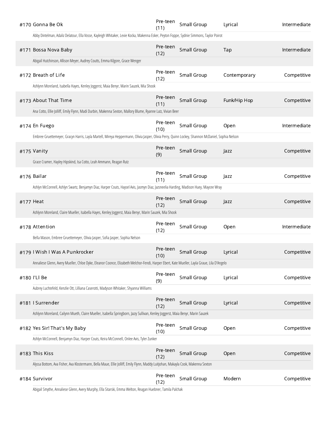| #170 Gonna Be Ok                                                                                                                                 | Pre-teen<br>(11) | Small Group        | Lyrical      | Intermediate |
|--------------------------------------------------------------------------------------------------------------------------------------------------|------------------|--------------------|--------------|--------------|
| Abby Dintelman, Adaliz Delatour, Ella Vosse, Kayleigh Whitaker, Lexie Kocka, Makenna Esker, Peyton Foppe, Sydnie Simmons, Taylor Poirot          |                  |                    |              |              |
| #171 Bossa Nova Baby                                                                                                                             | Pre-teen<br>(12) | Small Group        | Tap          | Intermediate |
| Abigail Hutchinson, Allison Meyer, Audrey Coutts, Emma Kilgore, Grace Wenger                                                                     |                  |                    |              |              |
| #172 Breath of Life                                                                                                                              | Pre-teen<br>(12) | Small Group        | Contemporary | Competitive  |
| Ashlynn Moreland, Isabella Hayes, Kenley Joggerst, Maia Benyr, Marin Sauzek, Mia Shook                                                           |                  |                    |              |              |
| #173 About That Time                                                                                                                             | Pre-teen<br>(11) | Small Group        | Funk/Hip Hop | Competitive  |
| Ana Cotto, Ellie Jolliff, Emily Flynn, Madi Durbin, Makenna Sexton, Mallory Blume, Ryanne Lutz, Vivian Beer                                      |                  |                    |              |              |
| #174 En Fuego                                                                                                                                    | Pre-teen<br>(10) | Small Group        | Open         | Intermediate |
| Embree Gruettemeyer, Gracyn Harris, Layla Martell, Mireya Heppermann, Olivia Jasper, Olivia Perry, Quinn Lockey, Shannon McDaniel, Sophia Nelson |                  |                    |              |              |
| #175 Vanity                                                                                                                                      | Pre-teen<br>(9)  | Small Group        | Jazz         | Competitive  |
| Grace Cramer, Hayley Hipskind, Isa Cotto, Leah Ammann, Reagan Rutz                                                                               |                  |                    |              |              |
| #176 Bailar                                                                                                                                      | Pre-teen<br>(11) | Small Group        | Jazz         | Competitive  |
| Ashlyn McConnell, Ashlyn Swartz, Benjamyn Diaz, Harper Couts, Haysel Avis, Jasmyn Diaz, Jazsneelia Harding, Madison Huey, Maycee Wray            |                  |                    |              |              |
| #177 Heat                                                                                                                                        | Pre-teen<br>(12) | Small Group        | <b>Jazz</b>  | Competitive  |
| Ashlynn Moreland, Claire Mueller, Isabella Hayes, Kenley Joggerst, Maia Benyr, Marin Sauzek, Mia Shook                                           |                  |                    |              |              |
| #178 Attention                                                                                                                                   | Pre-teen<br>(12) | Small Group        | Open         | Intermediate |
| Bella Mason, Embree Gruettemeyer, Olivia Jasper, Sofia Jasper, Sophia Nelson                                                                     |                  |                    |              |              |
| #179   Wish   Was A Punkrocker                                                                                                                   | Pre-teen<br>(10) | Small Group        | Lyrical      | Competitive  |
| Annaliese Glenn, Avery Mueller, Chloe Dyke, Eleanor Coonce, Elizabeth Melchor-Fendi, Harper Ebert, Kate Mueller, Layla Graue, Lila D'Angelo      |                  |                    |              |              |
| #180 I'Ll Be                                                                                                                                     | Pre-teen<br>(9)  | Small Group        | Lyrical      | Competitive  |
| Aubrey Luchtefeld, Kenzlie Ott, Lilliana Caserotti, Madyson Whitaker, Shyanna Williams                                                           |                  |                    |              |              |
| #181   Surrender                                                                                                                                 | Pre-teen<br>(12) | <b>Small Group</b> | Lyrical      | Competitive  |
| Ashlynn Moreland, Cailynn Mueth, Claire Mueller, Isabella Springborn, Jazzy Sullivan, Kenley Joggerst, Maia Benyr, Marin Sauzek                  |                  |                    |              |              |
| #182 Yes Sir! That's My Baby                                                                                                                     | Pre-teen<br>(10) | Small Group        | Open         | Competitive  |
| Ashlyn McConnell, Benjamyn Diaz, Harper Couts, Keira McConnell, Onlee Avis, Tyler Zunker                                                         |                  |                    |              |              |
| #183 This Kiss                                                                                                                                   | Pre-teen<br>(12) | Small Group        | Open         | Competitive  |
| Alyssa Bottom, Ava Fisher, Ava Klostermann, Bella Maue, Ellie Jolliff, Emily Flynn, Maddy Luitjohan, Makayla Cook, Makenna Sexton                |                  |                    |              |              |
| #184 Survivor                                                                                                                                    | Pre-teen<br>(12) | Small Group        | Modern       | Competitive  |

Abigail Smythe, Annaliese Glenn, Avery Murphy, Ella Sitarski, Emma Welton, Reagan Huebner, Tamila Palchak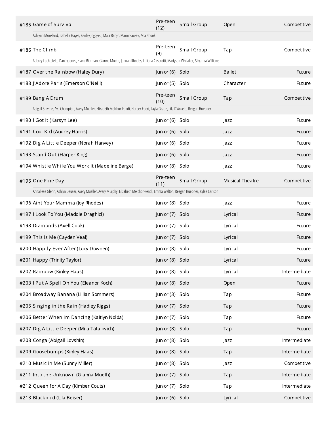| #185 Game of Survival                                                                                                               | Pre-teen<br>(12) | Small Group | Open                   | Competitive  |
|-------------------------------------------------------------------------------------------------------------------------------------|------------------|-------------|------------------------|--------------|
| Ashlynn Moreland, Isabella Hayes, Kenley Joggerst, Maia Benyr, Marin Sauzek, Mia Shook                                              |                  |             |                        |              |
| #186 The Climb                                                                                                                      | Pre-teen<br>(9)  | Small Group | Tap                    | Competitive  |
| Aubrey Luchtefeld, Danity Jones, Elana Bierman, Gianna Mueth, Jannah Rhodes, Lilliana Caserotti, Madyson Whitaker, Shyanna Williams |                  |             |                        |              |
| #187 Over the Rainbow (Haley Dury)                                                                                                  | Junior (6) Solo  |             | <b>Ballet</b>          | Future       |
| #188 J'Adore Paris (Emerson O'Neill)                                                                                                | Junior (5) Solo  |             | Character              | Future       |
| #189 Bang A Drum                                                                                                                    | Pre-teen<br>(10) | Small Group | Tap                    | Competitive  |
| Abigail Smythe, Ava Champion, Avery Mueller, Elizabeth Melchor-Fendi, Harper Ebert, Layla Graue, Lila D'Angelo, Reagan Huebner      |                  |             |                        |              |
| #190 I Got It (Karsyn Lee)                                                                                                          | Junior (6) Solo  |             | Jazz                   | Future       |
| #191 Cool Kid (Audrey Harris)                                                                                                       | Junior (6) Solo  |             | Jazz                   | Future       |
| #192 Dig A Little Deeper (Norah Hanvey)                                                                                             | Junior (6) Solo  |             | Jazz                   | Future       |
| #193 Stand Out (Harper King)                                                                                                        | Junior (6) Solo  |             | Jazz                   | Future       |
| #194 Whistle While You Work It (Madeline Barge)                                                                                     | Junior (8) Solo  |             | Jazz                   | Future       |
| #195 One Fine Day                                                                                                                   | Pre-teen<br>(11) | Small Group | <b>Musical Theatre</b> | Competitive  |
| Annaliese Glenn, Ashlyn Deuser, Avery Mueller, Avery Murphy, Elizabeth Melchor-Fendi, Emma Welton, Reagan Huebner, Rylee Carlson    |                  |             |                        |              |
| #196 Aint Your Mamma (Joy Rhodes)                                                                                                   | Junior (8) Solo  |             | Jazz                   | Future       |
| #197 I Look To You (Maddie Draghici)                                                                                                | Junior (7) Solo  |             | Lyrical                | Future       |
| #198 Diamonds (Axell Cook)                                                                                                          | Junior (7) Solo  |             | Lyrical                | Future       |
| #199 This Is Me (Cayden Veal)                                                                                                       | Junior (7) Solo  |             | Lyrical                | Future       |
| #200 Happily Ever After (Lucy Downen)                                                                                               | Junior (8) Solo  |             | Lyrical                | Future       |
| #201 Happy (Trinity Taylor)                                                                                                         | Junior (8) Solo  |             | Lyrical                | Future       |
| #202 Rainbow (Kinley Haas)                                                                                                          | Junior (8) Solo  |             | Lyrical                | Intermediate |
| #203 I Put A Spell On You (Eleanor Koch)                                                                                            | Junior (8) Solo  |             | Open                   | Future       |
| #204 Broadway Banana (Lillian Sommers)                                                                                              | Junior (3) Solo  |             | Tap                    | Future       |
| #205 Singing in the Rain (Hadley Riggs)                                                                                             | Junior (7) Solo  |             | Tap                    | Future       |
| #206 Better When Im Dancing (Kaitlyn Nolda)                                                                                         | Junior (7) Solo  |             | Tap                    | Future       |
| #207 Dig A Little Deeper (Mila Tatalovich)                                                                                          | Junior (8) Solo  |             | Tap                    | Future       |
| #208 Conga (Abigail Lovshin)                                                                                                        | Junior (8) Solo  |             | Jazz                   | Intermediate |
| #209 Goosebumps (Kinley Haas)                                                                                                       | Junior (8) Solo  |             | Tap                    | Intermediate |
| #210 Music in Me (Sunny Miller)                                                                                                     | Junior (8) Solo  |             | Jazz                   | Competitive  |
| #211 Into the Unknown (Gianna Mueth)                                                                                                | Junior (7) Solo  |             | Tap                    | Intermediate |
| #212 Queen for A Day (Kimber Couts)                                                                                                 | Junior (7) Solo  |             | Tap                    | Intermediate |
| #213 Blackbird (Lila Beiser)                                                                                                        | Junior (6) Solo  |             | Lyrical                | Competitive  |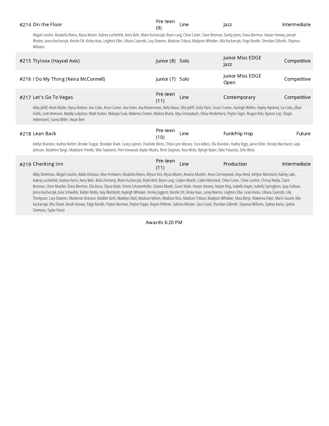| #214 On the Floor | Pre-teen                                                                                                                                                                                      | Intermediate |
|-------------------|-----------------------------------------------------------------------------------------------------------------------------------------------------------------------------------------------|--------------|
|                   | Abigail Louchin Alizabella Rivera Alusca Moore, Aubrey Luchtofold, Ayony Rabr, Rivie Kucharczyk, Royan Lang, Chloe Cartor, Claire Rronaan, Dapity Jones, Elana Rierman, Harner Hanyoy, Janaab |              |

Abigail Lovshin, Alizabella Rivera, Alyssa Moore, Aubrey Luchtefeld, Avery Bahr, Blaire Kucharczyk, Brynn Lang, Chloe Carter, Claire Brennan, Danity Jones, Elana Bierman, Harper Hanvey, Jannah Rhodes, Jenna Kucharczyk, Kenzlie Ott, Kinley Haas, Leighton Elbe, Lilliana Caserotti, Lucy Downen, Madison Tribout, Madyson Whitaker, Mia Kucharczyk, Paige Randle, Sheridan Gilbreth, Shyanna Williams

| #215 Ttylxox (Haysel Avis)           | Junior (8) Solo  |      | Junior Miss EDGE<br>azz  | Competitive |
|--------------------------------------|------------------|------|--------------------------|-------------|
| #216 I Do My Thing (Keira McConnell) | Junior (7) Solo  |      | Junior Miss EDGE<br>Open | Competitive |
| #217 Let's Go To Vegas               | Pre-teen<br>(11) | Line | Contemporary             | Competitive |

Abby Jolliff, Aleah Walter, Alyssa Bottom, Ana Cotto, Anna Cramer, Ava Fisher, Ava Klostermann, Bella Maue, Ellie Jolliff, Emily Flynn, Grace Cramer, Harleigh Wellen, Hayley Hipskind, Isa Cotto, Jillian Fields, Leah Ammann, Maddy Luitjohan, Madi Durbin, Makayla Cook, Makenna Sexton, Mallory Blume, Mya Schuepbach, Olivia Herderhorst, Peyton Seger, Reagan Rutz, Ryanne Lutz, Shayla Hebenstreit, Sunny Miller, Vivian Beer

| #218 Lean Back                                                                                                                                                                                                                 | Pre-teen<br>(10) | Line | Funk/Hip Hop | -uture |
|--------------------------------------------------------------------------------------------------------------------------------------------------------------------------------------------------------------------------------|------------------|------|--------------|--------|
| Additionally Audio Mithie Books Towns Bookley Providence Abdimentally Additional Micro Audio Elle Bookley Holding Discovery Microsoft and a local restoration of the Discovery Audio Microsoft and the Discovery Audio Audio A |                  |      |              |        |

Adelyn Brandon, Audrey Neifert, Brooke Teague, Brooklyn Vitale, Casey Lopinot, Charlotte Wicks, Chloe-Lynn Massey, Cora Adkins, Ella Brandon, Hadley Riggs, Jamie Diller, Kinsley Marchand, Layla Johnson, Madeline Barge, Madelynn Preville, Mila Tatalovich, Perri Harwood, Raylyn Mudra, Remi Stegman, Rory Wicks, Ryleigh Bader, Rylie Palazzolo, Zella Wicks

| #219 Checking Inn | Pre-teen<br>Line<br>111 | <b>Production</b> | Intermediate |
|-------------------|-------------------------|-------------------|--------------|
|-------------------|-------------------------|-------------------|--------------|

Abby Dintelman, Abigail Lovshin, Adaliz Delatour, Alise Freebairn, Alizabella Rivera, Allyson Vick, Alyssa Moore, Amariss Mueller, Anna Czerniejewski, Anya Reed, Ashlynn Moreland, Aubrey Lake, Aubrey Luchtefeld, Audrey Harris, Avery Bahr, Bella Zimmerly, Blaire Kucharczyk, Brylie Bird, Brynn Lang, Cailynn Mueth, Caitlin Moreland, Chloe Carter, Chloe Lovshin, Chrissy Nolda, Claire Brennan, Claire Mueller, Elana Bierman, Ella Vosse, Elyssa Vitale, Emma Schutzenhofer, Gianna Mueth, Grace Vitale, Harper Hanvey, Harper King, Isabella Hayes, Isabella Springborn, Jazzy Sullivan, Jenna Kucharczyk, Josie Schwable, Kaitlyn Nolda, Katy Wambold, Kayleigh Whitaker, Kenley Joggerst, Kenzlie Ott, Kinley Haas, Laney Marino, Leighton Elbe, Lexie Kocka, Lilliana Caserotti, Lilly Thompson, Lucy Downen, Mackenzie Branson, Maddie Karfs, Madelyn Zittel, Madison Melvin, Madison Ross, Madison Tribout, Madyson Whitaker, Maia Benyr, Makenna Esker, Marin Sauzek, Mia Kucharczyk, Mia Shook, Norah Hanvey, Paige Randle, Peyton Bierman, Peyton Foppe, Riaynn Pellman, Sabrina Meister, Sara Crook, Sheridan Gilbreth, Shyanna Williams, Sydney Kocka, Sydnie Simmons, Taylor Poirot

Awards 6:20 PM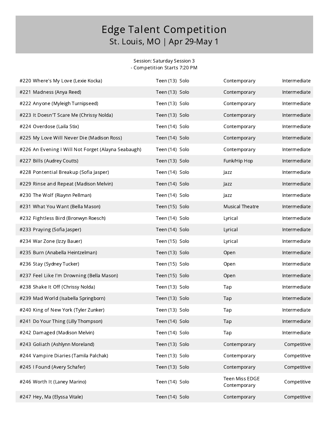#### Session: Saturday Session 3 - Competition Starts 7:20 PM

| #220 Where's My Love (Lexie Kocka)                  | Teen (13) Solo | Contemporary                   | Intermediate |
|-----------------------------------------------------|----------------|--------------------------------|--------------|
| #221 Madness (Anya Reed)                            | Teen (13) Solo | Contemporary                   | Intermediate |
| #222 Anyone (Myleigh Turnipseed)                    | Teen (13) Solo | Contemporary                   | Intermediate |
| #223 It Doesn'T Scare Me (Chrissy Nolda)            | Teen (13) Solo | Contemporary                   | Intermediate |
| #224 Overdose (Laila Stix)                          | Teen (14) Solo | Contemporary                   | Intermediate |
| #225 My Love Will Never Die (Madison Ross)          | Teen (14) Solo | Contemporary                   | Intermediate |
| #226 An Evening I Will Not Forget (Alayna Seabaugh) | Teen (14) Solo | Contemporary                   | Intermediate |
| #227 Bills (Audrey Coutts)                          | Teen (13) Solo | Funk/Hip Hop                   | Intermediate |
| #228 Pontential Breakup (Sofia Jasper)              | Teen (14) Solo | Jazz                           | Intermediate |
| #229 Rinse and Repeat (Madison Melvin)              | Teen (14) Solo | Jazz                           | Intermediate |
| #230 The Wolf (Riaynn Pellman)                      | Teen (14) Solo | Jazz                           | Intermediate |
| #231 What You Want (Bella Mason)                    | Teen (15) Solo | <b>Musical Theatre</b>         | Intermediate |
| #232 Fightless Bird (Bronwyn Roesch)                | Teen (14) Solo | Lyrical                        | Intermediate |
| #233 Praying (Sofia Jasper)                         | Teen (14) Solo | Lyrical                        | Intermediate |
| #234 War Zone (Izzy Bauer)                          | Teen (15) Solo | Lyrical                        | Intermediate |
| #235 Burn (Anabella Heintzelman)                    | Teen (13) Solo | Open                           | Intermediate |
| #236 Stay (Sydney Tucker)                           | Teen (15) Solo | Open                           | Intermediate |
| #237 Feel Like I'm Drowning (Bella Mason)           | Teen (15) Solo | Open                           | Intermediate |
| #238 Shake It Off (Chrissy Nolda)                   | Teen (13) Solo | Tap                            | Intermediate |
| #239 Mad World (Isabella Springborn)                | Teen (13) Solo | Tap                            | Intermediate |
| #240 King of New York (Tyler Zunker)                | Teen (13) Solo | Tap                            | Intermediate |
| #241 Do Your Thing (Lilly Thompson)                 | Teen (14) Solo | Tap                            | Intermediate |
| #242 Damaged (Madison Melvin)                       | Teen (14) Solo | Tap                            | Intermediate |
| #243 Goliath (Ashlynn Moreland)                     | Teen (13) Solo | Contemporary                   | Competitive  |
| #244 Vampire Diaries (Tamila Palchak)               | Teen (13) Solo | Contemporary                   | Competitive  |
| #245 I Found (Avery Schafer)                        | Teen (13) Solo | Contemporary                   | Competitive  |
| #246 Worth It (Laney Marino)                        | Teen (14) Solo | Teen Miss EDGE<br>Contemporary | Competitive  |
| #247 Hey, Ma (Elyssa Vitale)                        | Teen (14) Solo | Contemporary                   | Competitive  |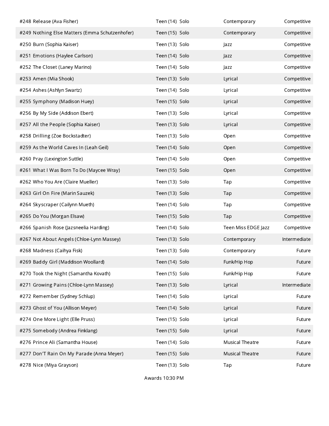| #248 Release (Ava Fisher)                      | Teen (14) Solo | Contemporary           | Competitive  |
|------------------------------------------------|----------------|------------------------|--------------|
| #249 Nothing Else Matters (Emma Schutzenhofer) | Teen (15) Solo | Contemporary           | Competitive  |
| #250 Burn (Sophia Kaiser)                      | Teen (13) Solo | Jazz                   | Competitive  |
| #251 Emotions (Haylee Carlson)                 | Teen (14) Solo | Jazz                   | Competitive  |
| #252 The Closet (Laney Marino)                 | Teen (14) Solo | Jazz                   | Competitive  |
| #253 Amen (Mia Shook)                          | Teen (13) Solo | Lyrical                | Competitive  |
| #254 Ashes (Ashlyn Swartz)                     | Teen (14) Solo | Lyrical                | Competitive  |
| #255 Symphony (Madison Huey)                   | Teen (15) Solo | Lyrical                | Competitive  |
| #256 By My Side (Addison Ebert)                | Teen (13) Solo | Lyrical                | Competitive  |
| #257 All the People (Sophia Kaiser)            | Teen (13) Solo | Lyrical                | Competitive  |
| #258 Drilling (Zoe Bockstadter)                | Teen (13) Solo | Open                   | Competitive  |
| #259 As the World Caves In (Leah Geil)         | Teen (14) Solo | Open                   | Competitive  |
| #260 Pray (Lexington Suttle)                   | Teen (14) Solo | Open                   | Competitive  |
| #261 What I Was Born To Do (Maycee Wray)       | Teen (15) Solo | Open                   | Competitive  |
| #262 Who You Are (Claire Mueller)              | Teen (13) Solo | Tap                    | Competitive  |
| #263 Girl On Fire (Marin Sauzek)               | Teen (13) Solo | Tap                    | Competitive  |
| #264 Skyscraper (Cailynn Mueth)                | Teen (14) Solo | Tap                    | Competitive  |
| #265 Do You (Morgan Elsaw)                     | Teen (15) Solo | Tap                    | Competitive  |
| #266 Spanish Rose (Jazsneelia Harding)         | Teen (14) Solo | Teen Miss EDGE Jazz    | Competitive  |
| #267 Not About Angels (Chloe-Lynn Massey)      | Teen (13) Solo | Contemporary           | Intermediate |
| #268 Madness (Caihya Fisk)                     | Teen (13) Solo | Contemporary           | Future       |
| #269 Baddy Girl (Maddison Woollard)            | Teen (14) Solo | Funk/Hip Hop           | Future       |
| #270 Took the Night (Samantha Kovath)          | Teen (15) Solo | Funk/Hip Hop           | Future       |
| #271 Growing Pains (Chloe-Lynn Massey)         | Teen (13) Solo | Lyrical                | Intermediate |
| #272 Remember (Sydney Schlup)                  | Teen (14) Solo | Lyrical                | Future       |
| #273 Ghost of You (Allison Meyer)              | Teen (14) Solo | Lyrical                | Future       |
| #274 One More Light (Elle Pruss)               | Teen (15) Solo | Lyrical                | Future       |
| #275 Somebody (Andrea Finklang)                | Teen (15) Solo | Lyrical                | Future       |
| #276 Prince Ali (Samantha House)               | Teen (14) Solo | <b>Musical Theatre</b> | Future       |
| #277 Don'T Rain On My Parade (Anna Meyer)      | Teen (15) Solo | <b>Musical Theatre</b> | Future       |
| #278 Nice (Miya Grayson)                       | Teen (13) Solo | Tap                    | Future       |

Awards 10:30 PM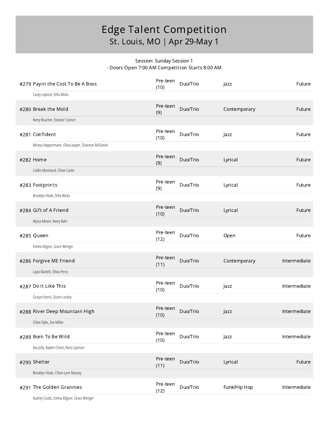#### Session: Sunday Session 1 - Doors Open 7:00 AM Competition Starts 8:00 AM

| #279 Payin the Cost To Be A Boss                   | Pre-teen<br>(10) | Duo/Trio | Jazz         | Future       |
|----------------------------------------------------|------------------|----------|--------------|--------------|
| Casey Lopinot, Zella Wicks                         |                  |          |              |              |
| #280 Break the Mold                                | Pre-teen<br>(9)  | Duo/Trio | Contemporary | Future       |
| Avery Boucher, Eleanor Coonce                      |                  |          |              |              |
| #281 Confident                                     | Pre-teen<br>(10) | Duo/Trio | Jazz         | Future       |
| Mireya Heppermann, Olivia Jasper, Shannon McDaniel |                  |          |              |              |
| #282 Home                                          | Pre-teen<br>(9)  | Duo/Trio | Lyrical      | Future       |
| Caitlin Moreland, Chloe Carter                     |                  |          |              |              |
| #283 Footprints                                    | Pre-teen<br>(9)  | Duo/Trio | Lyrical      | Future       |
| Brooklyn Vitale, Zella Wicks                       |                  |          |              |              |
| #284 Gift of A Friend                              | Pre-teen<br>(10) | Duo/Trio | Lyrical      | Future       |
| Alyssa Moore, Avery Bahr                           |                  |          |              |              |
| #285 Queen                                         | Pre-teen<br>(12) | Duo/Trio | Open         | Future       |
| Emma Kilgore, Grace Wenger                         |                  |          |              |              |
| #286 Forgive ME Friend                             | Pre-teen<br>(11) | Duo/Trio | Contemporary | Intermediate |
| Layla Martell, Olivia Perry                        |                  |          |              |              |
| #287 Dolt Like This                                | Pre-teen<br>(10) | Duo/Trio | Jazz         | Intermediate |
| Gracyn Harris, Quinn Lockey                        |                  |          |              |              |
| #288 River Deep Mountain High                      | Pre-teen<br>(10) | Duo/Trio | Jazz         | Intermediate |
| Chloe Dyke, Zoe Miller                             |                  |          |              |              |
| #289 Born To Be Wild                               | Pre-teen<br>(10) | Duo/Trio | Jazz         | Intermediate |
| Ava Jolly, Baylee Chism, Keira Spencer             |                  |          |              |              |
| #290 Shelter                                       | Pre-teen<br>(11) | Duo/Trio | Lyrical      | Future       |
| Brooklyn Vitale, Chloe-Lynn Massey                 |                  |          |              |              |
| #291 The Golden Grannies                           | Pre-teen<br>(12) | Duo/Trio | Funk/Hip Hop | Intermediate |
|                                                    |                  |          |              |              |

Audrey Coutts, Emma Kilgore, Grace Wenger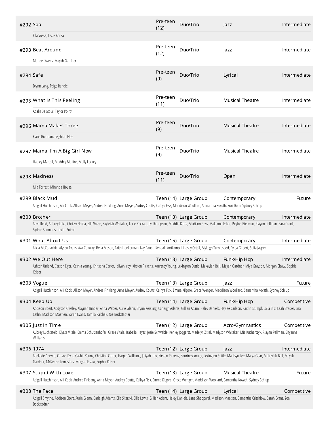| #292 Spa  | Ella Vosse, Lexie Kocka                                                                                                                                                                                                                                                                     | Pre-teen<br>(12) | Duo/Trio              | Jazz                   | Intermediate |
|-----------|---------------------------------------------------------------------------------------------------------------------------------------------------------------------------------------------------------------------------------------------------------------------------------------------|------------------|-----------------------|------------------------|--------------|
|           | #293 Beat Around                                                                                                                                                                                                                                                                            | Pre-teen         | Duo/Trio              | Jazz                   | Intermediate |
|           | Marlee Owens, Mayah Gardner                                                                                                                                                                                                                                                                 | (12)             |                       |                        |              |
| #294 Safe |                                                                                                                                                                                                                                                                                             | Pre-teen<br>(9)  | Duo/Trio              | Lyrical                | Intermediate |
|           | Brynn Lang, Paige Randle                                                                                                                                                                                                                                                                    |                  |                       |                        |              |
|           | #295 What Is This Feeling                                                                                                                                                                                                                                                                   | Pre-teen<br>(11) | Duo/Trio              | <b>Musical Theatre</b> | Intermediate |
|           | Adaliz Delatour, Taylor Poirot                                                                                                                                                                                                                                                              |                  |                       |                        |              |
|           | #296 Mama Makes Three                                                                                                                                                                                                                                                                       | Pre-teen<br>(9)  | Duo/Trio              | <b>Musical Theatre</b> | Intermediate |
|           | Elana Bierman, Leighton Elbe                                                                                                                                                                                                                                                                |                  |                       |                        |              |
|           | #297 Mama, I'm A Big Girl Now                                                                                                                                                                                                                                                               | Pre-teen<br>(9)  | Duo/Trio              | <b>Musical Theatre</b> | Intermediate |
|           | Hadley Martell, Maddey Molitor, Molly Lockey                                                                                                                                                                                                                                                |                  |                       |                        |              |
|           | #298 Madness                                                                                                                                                                                                                                                                                | Pre-teen<br>(11) | Duo/Trio              | Open                   | Intermediate |
|           | Mia Forrest, Miranda House                                                                                                                                                                                                                                                                  |                  |                       |                        |              |
|           | #299 Black Mud<br>Abigail Hutchinson, Alli Cook, Allison Meyer, Andrea Finklang, Anna Meyer, Audrey Coutts, Caihya Fisk, Maddison Woollard, Samantha Kovath, Suri Dorn, Sydney Schlup                                                                                                       |                  | Teen (14) Large Group | Contemporary           | Future       |
|           | #300 Brother                                                                                                                                                                                                                                                                                |                  |                       |                        |              |
|           | Anya Reed, Aubrey Lake, Chrissy Nolda, Ella Vosse, Kayleigh Whitaker, Lexie Kocka, Lilly Thompson, Maddie Karfs, Madison Ross, Makenna Esker, Peyton Bierman, Riaynn Pellman, Sara Crook,<br>Sydnie Simmons, Taylor Poirot                                                                  |                  | Teen (13) Large Group | Contemporary           | Intermediate |
|           | #301 What About Us                                                                                                                                                                                                                                                                          |                  | Teen (15) Large Group | Contemporary           | Intermediate |
|           | Alicia McConachie, Alyson Evans, Ava Conway, Bella Mason, Faith Hookerman, Izzy Bauer, Kendall Kortkamp, Lindsay Ortell, Myleigh Turnipseed, Rylea Gilbert, Sofia Jasper                                                                                                                    |                  |                       |                        |              |
|           | #302 We Out Here<br>Ashton Unland, Carson Dyer, Cashia Young, Christina Carter, Jaliyah Irby, Kirsten Pickens, Kourtney Young, Lexington Suttle, Makaylah Bell, Mayah Gardner, Miya Grayson, Morgan Elsaw, Sophia<br>Kaiser                                                                 |                  | Teen (13) Large Group | Funk/Hip Hop           | Intermediate |
|           | #303 Vogue                                                                                                                                                                                                                                                                                  |                  | Teen (13) Large Group | Jazz                   | Future       |
|           | Abigail Hutchinson, Alli Cook, Allison Meyer, Andrea Finklang, Anna Meyer, Audrey Coutts, Caihya Fisk, Emma Kilgore, Grace Wenger, Maddison Woollard, Samantha Kovath, Sydney Schlup                                                                                                        |                  |                       |                        |              |
|           | #304 Keep Up<br>Addison Ebert, Addyson Owsley, Alaynah Binder, Anna Weber, Aurie Glenn, Brynn Kersting, Carleigh Adams, Gillian Adam, Haley Daniels, Haylee Carlson, Kaitlin Stumpf, Laila Stix, Leah Brader, Liza<br>Catlin, Madison Maetten, Sarah Evans, Tamila Palchak, Zoe Bockstadter |                  | Teen (14) Large Group | Funk/Hip Hop           | Competitive  |
|           | #305 Just in Time<br>Aubrey Luchtefeld, Elyssa Vitale, Emma Schutzenhofer, Grace Vitale, Isabella Hayes, Josie Schwable, Kenley Joggerst, Madelyn Zittel, Madyson Whitaker, Mia Kucharczyk, Riaynn Pellman, Shyanna<br>Williams                                                             |                  | Teen (12) Large Group | Acro/Gymnastics        | Competitive  |
| #306 1974 | Adelaide Corwin, Carson Dyer, Cashia Young, Christina Carter, Harper Williams, Jaliyah Irby, Kirsten Pickens, Kourtney Young, Lexington Suttle, Madisyn Lee, Maiya Gear, Makaylah Bell, Mayah<br>Gardner, McKenzie Lemasters, Morgan Elsaw, Sophia Kaiser                                   |                  | Teen (12) Large Group | Jazz                   | Intermediate |
|           | #307 Stupid With Love<br>Abigail Hutchinson, Alli Cook, Andrea Finklang, Anna Meyer, Audrey Coutts, Caihya Fisk, Emma Kilgore, Grace Wenger, Maddison Woollard, Samantha Kovath, Sydney Schlup                                                                                              |                  | Teen (13) Large Group | <b>Musical Theatre</b> | Future       |
|           | #308 The Face                                                                                                                                                                                                                                                                               |                  | Teen (14) Large Group | Lyrical                | Competitive  |
|           | Abigail Smythe, Addison Ebert, Aurie Glenn, Carleigh Adams, Ella Sitarski, Ellie Lewis, Gillian Adam, Haley Daniels, Lana Sheppard, Madison Maetten, Samantha Critchlow, Sarah Evans, Zoe<br>Bockstadter                                                                                    |                  |                       |                        |              |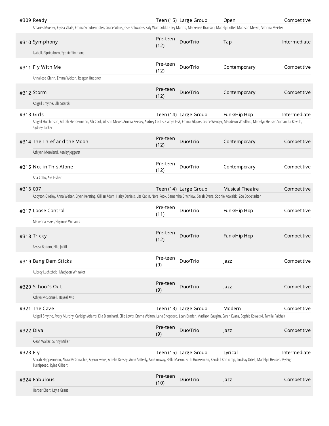|           | #309 Ready<br>Amariss Mueller, Elyssa Vitale, Emma Schutzenhofer, Grace Vitale, Josie Schwable, Katy Wambold, Laney Marino, Mackenzie Branson, Madelyn Zittel, Madison Melvin, Sabrina Meister                             |                  | Teen (15) Large Group | Open                   | Competitive  |
|-----------|----------------------------------------------------------------------------------------------------------------------------------------------------------------------------------------------------------------------------|------------------|-----------------------|------------------------|--------------|
|           | #310 Symphony                                                                                                                                                                                                              | Pre-teen         | Duo/Trio              | Tap                    | Intermediate |
|           | Isabella Springborn, Sydnie Simmons                                                                                                                                                                                        | (12)             |                       |                        |              |
|           | #311 Fly With Me                                                                                                                                                                                                           | Pre-teen<br>(12) | Duo/Trio              | Contemporary           | Competitive  |
|           | Annaliese Glenn, Emma Welton, Reagan Huebner                                                                                                                                                                               |                  |                       |                        |              |
|           | #312 Storm                                                                                                                                                                                                                 | Pre-teen<br>(12) | Duo/Trio              | Contemporary           | Competitive  |
|           | Abigail Smythe, Ella Sitarski                                                                                                                                                                                              |                  |                       |                        |              |
|           | #313 Girls<br>Abigail Hutchinson, Adirah Heppermann, Alli Cook, Allison Meyer, Amelia Keesey, Audrey Coutts, Caihya Fisk, Emma Kilgore, Grace Wenger, Maddison Woollard, Madelyn Heuser, Samantha Kovath,<br>Sydney Tucker |                  | Teen (14) Large Group | Funk/Hip Hop           | Intermediate |
|           | #314 The Thief and the Moon                                                                                                                                                                                                | Pre-teen<br>(12) | Duo/Trio              | Contemporary           | Competitive  |
|           | Ashlynn Moreland, Kenley Joggerst                                                                                                                                                                                          |                  |                       |                        |              |
|           | #315 Not in This Alone                                                                                                                                                                                                     | Pre-teen<br>(12) | Duo/Trio              | Contemporary           | Competitive  |
|           | Ana Cotto, Ava Fisher                                                                                                                                                                                                      |                  |                       |                        |              |
| #316 007  | Addyson Owsley, Anna Weber, Brynn Kersting, Gillian Adam, Haley Daniels, Liza Catlin, Nora Rook, Samantha Critchlow, Sarah Evans, Sophie Kowalski, Zoe Bockstadter                                                         |                  | Teen (14) Large Group | <b>Musical Theatre</b> | Competitive  |
|           |                                                                                                                                                                                                                            | Pre-teen         |                       |                        |              |
|           | #317 Loose Control                                                                                                                                                                                                         | (11)             | Duo/Trio              | Funk/Hip Hop           | Competitive  |
|           | Makenna Esker, Shyanna Williams                                                                                                                                                                                            |                  |                       |                        |              |
|           | #318 Tricky                                                                                                                                                                                                                | Pre-teen<br>(12) | Duo/Trio              | Funk/Hip Hop           | Competitive  |
|           | Alyssa Bottom, Ellie Jolliff                                                                                                                                                                                               |                  |                       |                        |              |
|           | #319 Bang Dem Sticks                                                                                                                                                                                                       | Pre-teen<br>(9)  | Duo/Trio              | Jazz                   | Competitive  |
|           | Aubrey Luchtefeld, Madyson Whitaker                                                                                                                                                                                        |                  |                       |                        |              |
|           | #320 School's Out                                                                                                                                                                                                          | Pre-teen<br>(9)  | Duo/Trio              | Jazz                   | Competitive  |
|           | Ashlyn McConnell, Haysel Avis                                                                                                                                                                                              |                  |                       |                        |              |
|           | #321 The Cave<br>Abigail Smythe, Avery Murphy, Carleigh Adams, Ella Blanchard, Ellie Lewis, Emma Welton, Lana Sheppard, Leah Brader, Madison Baughn, Sarah Evans, Sophie Kowalski, Tamila Palchak                          |                  | Teen (13) Large Group | Modern                 | Competitive  |
|           |                                                                                                                                                                                                                            |                  |                       |                        |              |
| #322 Diva |                                                                                                                                                                                                                            | Pre-teen<br>(9)  | Duo/Trio              | Jazz                   | Competitive  |
|           | Aleah Walter, Sunny Miller                                                                                                                                                                                                 |                  |                       |                        |              |
| #323 Fly  | Adirah Heppermann, Alicia McConachie, Alyson Evans, Amelia Keesey, Anna Satterly, Ava Conway, Bella Mason, Faith Hookerman, Kendall Kortkamp, Lindsay Ortell, Madelyn Heuser, Myleigh<br>Turnipseed, Rylea Gilbert         |                  | Teen (15) Large Group | Lyrical                | Intermediate |
|           | #324 Fabulous                                                                                                                                                                                                              | Pre-teen<br>(10) | Duo/Trio              | Jazz                   | Competitive  |
|           | Harper Ebert, Layla Graue                                                                                                                                                                                                  |                  |                       |                        |              |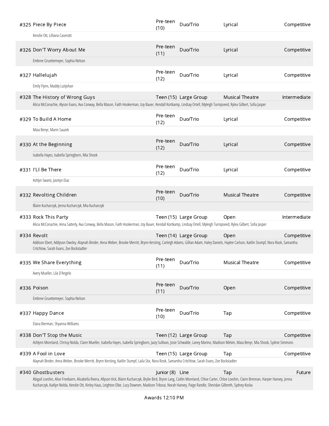| #325 Piece By Piece                                                                                                                                                                                                                    | Pre-teen<br>(10) | Duo/Trio              | Lyrical                | Competitive  |
|----------------------------------------------------------------------------------------------------------------------------------------------------------------------------------------------------------------------------------------|------------------|-----------------------|------------------------|--------------|
| Kenzlie Ott, Lilliana Caserotti                                                                                                                                                                                                        |                  |                       |                        |              |
| #326 Don'T Worry About Me                                                                                                                                                                                                              | Pre-teen<br>(11) | Duo/Trio              | Lyrical                | Competitive  |
| Embree Gruettemeyer, Sophia Nelson                                                                                                                                                                                                     |                  |                       |                        |              |
| #327 Hallelujah                                                                                                                                                                                                                        | Pre-teen<br>(12) | Duo/Trio              | Lyrical                | Competitive  |
| Emily Flynn, Maddy Luitjohan                                                                                                                                                                                                           |                  |                       |                        |              |
| #328 The History of Wrong Guys<br>Alicia McConachie, Alyson Evans, Ava Conway, Bella Mason, Faith Hookerman, Izzy Bauer, Kendall Kortkamp, Lindsay Ortell, Myleigh Turnipseed, Rylea Gilbert, Sofia Jasper                             |                  | Teen (15) Large Group | <b>Musical Theatre</b> | Intermediate |
| #329 To Build A Home                                                                                                                                                                                                                   | Pre-teen<br>(12) | Duo/Trio              | Lyrical                | Competitive  |
| Maia Benyr, Marin Sauzek                                                                                                                                                                                                               |                  |                       |                        |              |
| #330 At the Beginning                                                                                                                                                                                                                  | Pre-teen<br>(12) | Duo/Trio              | Lyrical                | Competitive  |
| Isabella Hayes, Isabella Springborn, Mia Shook                                                                                                                                                                                         |                  |                       |                        |              |
| #331 I'Ll Be There                                                                                                                                                                                                                     | Pre-teen<br>(12) | Duo/Trio              | Lyrical                | Competitive  |
| Ashlyn Swartz, Jasmyn Diaz                                                                                                                                                                                                             |                  |                       |                        |              |
| #332 Revolting Children                                                                                                                                                                                                                | Pre-teen<br>(10) | Duo/Trio              | <b>Musical Theatre</b> | Competitive  |
| Blaire Kucharczyk, Jenna Kucharczyk, Mia Kucharczyk                                                                                                                                                                                    |                  |                       |                        |              |
| #333 Rock This Party<br>Alicia McConachie, Anna Satterly, Ava Conway, Bella Mason, Faith Hookerman, Izzy Bauer, Kendall Kortkamp, Lindsay Ortell, Myleigh Turnipseed, Rylea Gilbert, Sofia Jasper                                      |                  | Teen (15) Large Group | Open                   | Intermediate |
| #334 Revolt                                                                                                                                                                                                                            |                  | Teen (14) Large Group | Open                   | Competitive  |
| Addison Ebert, Addyson Owsley, Alaynah Binder, Anna Weber, Brooke Merritt, Brynn Kersting, Carleigh Adams, Gillian Adam, Haley Daniels, Haylee Carlson, Kaitlin Stumpf, Nora Rook, Samantha<br>Critchlow, Sarah Evans, Zoe Bockstadter |                  |                       |                        |              |
| #335 We Share Everything                                                                                                                                                                                                               | Pre-teen<br>(11) | Duo/Trio              | <b>Musical Theatre</b> | Competitive  |
| Avery Mueller, Lila D'Angelo                                                                                                                                                                                                           |                  |                       |                        |              |
| #336 Poison                                                                                                                                                                                                                            | Pre-teen<br>(11) | Duo/Trio              | Open                   | Competitive  |
|                                                                                                                                                                                                                                        |                  |                       |                        |              |
| Embree Gruettemeyer, Sophia Nelson                                                                                                                                                                                                     |                  |                       |                        |              |
| #337 Happy Dance                                                                                                                                                                                                                       | Pre-teen<br>(10) | Duo/Trio              | Tap                    | Competitive  |
| Elana Bierman, Shyanna Williams                                                                                                                                                                                                        |                  |                       |                        |              |
| #338 Don'T Stop the Music<br>Ashlynn Moreland, Chrissy Nolda, Claire Mueller, Isabella Hayes, Isabella Springborn, Jazzy Sullivan, Josie Schwable, Laney Marino, Madison Melvin, Maia Benyr, Mia Shook, Sydnie Simmons                 |                  | Teen (12) Large Group | Tap                    | Competitive  |
| #339 A Fool in Love                                                                                                                                                                                                                    |                  |                       |                        |              |
| Alaynah Binder, Anna Weber, Brooke Merritt, Brynn Kersting, Kaitlin Stumpf, Laila Stix, Nora Rook, Samantha Critchlow, Sarah Evans, Zoe Bockstadter                                                                                    |                  | Teen (15) Large Group | Tap                    | Competitive  |
| #340 Ghostbusters                                                                                                                                                                                                                      | Junior (8) Line  |                       | Tap                    | Future       |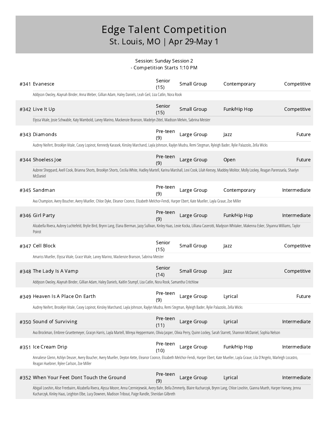#### Session: Sunday Session 2 - Competition Starts 1:10 PM

| #341 Evanesce                                                                                                                                                                                                                                                                                                | Senior<br>(15)   | Small Group | Contemporary | Competitive  |
|--------------------------------------------------------------------------------------------------------------------------------------------------------------------------------------------------------------------------------------------------------------------------------------------------------------|------------------|-------------|--------------|--------------|
| Addyson Owsley, Alaynah Binder, Anna Weber, Gillian Adam, Haley Daniels, Leah Geil, Liza Catlin, Nora Rook                                                                                                                                                                                                   |                  |             |              |              |
| #342 Live It Up                                                                                                                                                                                                                                                                                              | Senior<br>(15)   | Small Group | Funk/Hip Hop | Competitive  |
| Elyssa Vitale, Josie Schwable, Katy Wambold, Laney Marino, Mackenzie Branson, Madelyn Zittel, Madison Melvin, Sabrina Meister                                                                                                                                                                                |                  |             |              |              |
| #343 Diamonds                                                                                                                                                                                                                                                                                                | Pre-teen<br>(9)  | Large Group | Jazz         | Future       |
| Audrey Neifert, Brooklyn Vitale, Casey Lopinot, Kennedy Karasek, Kinsley Marchand, Layla Johnson, Raylyn Mudra, Remi Stegman, Ryleigh Bader, Rylie Palazzolo, Zella Wicks                                                                                                                                    |                  |             |              |              |
| #344 Shoeless Joe                                                                                                                                                                                                                                                                                            | Pre-teen<br>(9)  | Large Group | Open         | Future       |
| Aubree Sheppard, Axell Cook, Brianna Shorts, Brooklyn Shorts, Cecilia White, Hadley Martell, Karina Marshall, Lexi Cook, Lilah Keesey, Maddey Molitor, Molly Lockey, Reagan Parenzuela, Shaelyn<br>McDaniel                                                                                                  |                  |             |              |              |
| #345 Sandman                                                                                                                                                                                                                                                                                                 | Pre-teen<br>(9)  | Large Group | Contemporary | Intermediate |
| Ava Champion, Avery Boucher, Avery Mueller, Chloe Dyke, Eleanor Coonce, Elizabeth Melchor-Fendi, Harper Ebert, Kate Mueller, Layla Graue, Zoe Miller                                                                                                                                                         |                  |             |              |              |
| #346 Girl Party                                                                                                                                                                                                                                                                                              | Pre-teen<br>(9)  | Large Group | Funk/Hip Hop | Intermediate |
| Alizabella Rivera, Aubrey Luchtefeld, Brylie Bird, Brynn Lang, Elana Bierman, Jazzy Sullivan, Kinley Haas, Lexie Kocka, Lilliana Caserotti, Madyson Whitaker, Makenna Esker, Shyanna Williams, Taylor<br>Poirot                                                                                              |                  |             |              |              |
| #347 Cell Block                                                                                                                                                                                                                                                                                              | Senior<br>(15)   | Small Group | Jazz         | Competitive  |
| Amariss Mueller, Elyssa Vitale, Grace Vitale, Laney Marino, Mackenzie Branson, Sabrina Meister                                                                                                                                                                                                               |                  |             |              |              |
| #348 The Lady Is A Vamp                                                                                                                                                                                                                                                                                      | Senior<br>(14)   | Small Group | Jazz         | Competitive  |
| Addyson Owsley, Alaynah Binder, Gillian Adam, Haley Daniels, Kaitlin Stumpf, Liza Catlin, Nora Rook, Samantha Critchlow                                                                                                                                                                                      |                  |             |              |              |
| #349 Heaven Is A Place On Earth                                                                                                                                                                                                                                                                              | Pre-teen<br>(9)  | Large Group | Lyrical      | Future       |
| Audrey Neifert, Brooklyn Vitale, Casey Lopinot, Kinsley Marchand, Layla Johnson, Raylyn Mudra, Remi Stegman, Ryleigh Bader, Rylie Palazzolo, Zella Wicks                                                                                                                                                     |                  |             |              |              |
| #350 Sound of Surviving                                                                                                                                                                                                                                                                                      | Pre-teen<br>(11) | Large Group | Lyrical      | Intermediate |
| Ava Brockman, Embree Gruettemeyer, Gracyn Harris, Layla Martell, Mireya Heppermann, Olivia Jasper, Olivia Perry, Quinn Lockey, Sarah Starrett, Shannon McDaniel, Sophia Nelson                                                                                                                               |                  |             |              |              |
| #351 Ice Cream Drip                                                                                                                                                                                                                                                                                          | Pre-teen<br>(10) | Large Group | Funk/Hip Hop | Intermediate |
| Annaliese Glenn, Ashlyn Deuser, Avery Boucher, Avery Mueller, Deyton Kette, Eleanor Coonce, Elizabeth Melchor-Fendi, Harper Ebert, Kate Mueller, Layla Graue, Lila D'Angelo, Marleigh Locastro,<br>Reagan Huebner, Rylee Carlson, Zoe Miller                                                                 |                  |             |              |              |
| #352 When Your Feet Dont Touch the Ground                                                                                                                                                                                                                                                                    | Pre-teen<br>(9)  | Large Group | Lyrical      | Intermediate |
| Abigail Lovshin, Alise Freebairn, Alizabella Rivera, Alyssa Moore, Anna Czerniejewski, Avery Bahr, Bella Zimmerly, Blaire Kucharczyk, Brynn Lang, Chloe Lovshin, Gianna Mueth, Harper Hanvey, Jenna<br>Kucharczyk, Kinley Haas, Leighton Elbe, Lucy Downen, Madison Tribout, Paige Randle, Sheridan Gilbreth |                  |             |              |              |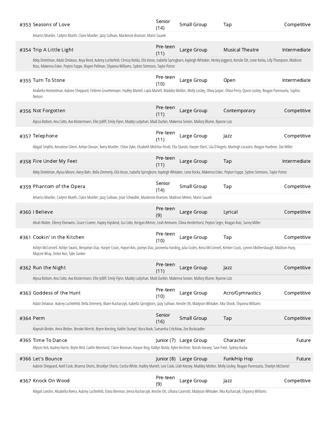| #353 Seasons of Love                                                                                                                                                                                                                                                                                       | Senior<br>(14)   | Small Group            | Tap                    | Competitive  |
|------------------------------------------------------------------------------------------------------------------------------------------------------------------------------------------------------------------------------------------------------------------------------------------------------------|------------------|------------------------|------------------------|--------------|
| Amariss Mueller, Cailynn Mueth, Claire Mueller, Jazzy Sullivan, Mackenzie Branson, Marin Sauzek                                                                                                                                                                                                            |                  |                        |                        |              |
| #354 Trip A Little Light                                                                                                                                                                                                                                                                                   | Pre-teen<br>(11) | Large Group            | <b>Musical Theatre</b> | Intermediate |
| Abby Dintelman, Adaliz Delatour, Anya Reed, Aubrey Luchtefeld, Chrissy Nolda, Ella Vosse, Isabella Springborn, Kayleigh Whitaker, Kenley Joggerst, Kenzlie Ott, Lexie Kocka, Lilly Thompson, Madison<br>Ross, Makenna Esker, Peyton Foppe, Riaynn Pellman, Shyanna Williams, Sydnie Simmons, Taylor Poirot |                  |                        |                        |              |
| #355 Turn To Stone                                                                                                                                                                                                                                                                                         | Pre-teen<br>(10) | Large Group            | Open                   | Intermediate |
| Anabella Heintzelman, Aubree Sheppard, Embree Gruettemeyer, Hadley Martell, Layla Martell, Maddey Molitor, Molly Lockey, Olivia Jasper, Olivia Perry, Quinn Lockey, Reagan Parenzuela, Sophia<br>Nelson                                                                                                    |                  |                        |                        |              |
| #356 Not Forgotten                                                                                                                                                                                                                                                                                         | Pre-teen<br>(11) | Large Group            | Contemporary           | Competitive  |
| Alyssa Bottom, Ana Cotto, Ava Klostermann, Ellie Jolliff, Emily Flynn, Maddy Luitjohan, Madi Durbin, Makenna Sexton, Mallory Blume, Ryanne Lutz                                                                                                                                                            |                  |                        |                        |              |
| #357 Telephone                                                                                                                                                                                                                                                                                             | Pre-teen<br>(11) | Large Group            | Jazz                   | Competitive  |
| Abigail Smythe, Annaliese Glenn, Ashlyn Deuser, Avery Mueller, Chloe Dyke, Elizabeth Melchor-Fendi, Ella Sitarski, Harper Ebert, Lila D'Angelo, Marleigh Locastro, Reagan Huebner, Zoe Miller                                                                                                              |                  |                        |                        |              |
| #358 Fire Under My Feet                                                                                                                                                                                                                                                                                    | Pre-teen<br>(11) | Large Group            | Tap                    | Intermediate |
| Abby Dintelman, Alyssa Moore, Avery Bahr, Bella Zimmerly, Ella Vosse, Isabella Springborn, Kayleigh Whitaker, Lexie Kocka, Makenna Esker, Peyton Foppe, Sydnie Simmons, Taylor Poirot                                                                                                                      |                  |                        |                        |              |
| #359 Phantom of the Opera                                                                                                                                                                                                                                                                                  | Senior<br>(14)   | Small Group            | Tap                    | Competitive  |
| Amariss Mueller, Cailynn Mueth, Claire Mueller, Jazzy Sullivan, Josie Schwable, Mackenzie Branson, Madison Melvin, Marin Sauzek                                                                                                                                                                            |                  |                        |                        |              |
|                                                                                                                                                                                                                                                                                                            |                  |                        |                        |              |
| #360   Believe                                                                                                                                                                                                                                                                                             | Pre-teen<br>(9)  | Large Group            | Lyrical                | Competitive  |
| Aleah Walter, Ellerey Eberwein, Grace Cramer, Hayley Hipskind, Isa Cotto, Kerigan Athmer, Leah Ammann, Olivia Herderhorst, Peyton Seger, Reagan Rutz, Sunny Miller                                                                                                                                         |                  |                        |                        |              |
| #361 Cookin' in the Kitchen                                                                                                                                                                                                                                                                                | Pre-teen<br>(10) | Large Group            | Tap                    | Competitive  |
| Ashlyn McConnell, Ashlyn Swartz, Benjamyn Diaz, Harper Couts, Haysel Avis, Jasmyn Diaz, Jazsneelia Harding, Julia Scoles, Keira McConnell, Kimber Couts, Lynnex Mothersbaugh, Madison Huey,<br>Maycee Wray, Onlee Avis, Tyler Zunker                                                                       |                  |                        |                        |              |
| #362 Run the Night                                                                                                                                                                                                                                                                                         | Pre-teen<br>(11) | Large Group            | Jazz                   | Competitive  |
| Alyssa Bottom, Ana Cotto, Ava Klostermann, Ellie Jolliff, Emily Flynn, Maddy Luitjohan, Madi Durbin, Makenna Sexton, Mallory Blume, Ryanne Lutz                                                                                                                                                            |                  |                        |                        |              |
| #363 Goddess of the Hunt                                                                                                                                                                                                                                                                                   | Pre-teen<br>(10) | Large Group            | Acro/Gymnastics        | Competitive  |
| Adaliz Delatour, Aubrey Luchtefeld, Bella Zimmerly, Blaire Kucharczyk, Isabella Springborn, Jazzy Sullivan, Kenzlie Ott, Madyson Whitaker, Mia Shook, Shyanna Williams                                                                                                                                     |                  |                        |                        |              |
| #364 Perm                                                                                                                                                                                                                                                                                                  | Senior<br>(16)   | Small Group            | Tap                    | Competitive  |
| Alaynah Binder, Anna Weber, Brooke Merritt, Brynn Kersting, Kaitlin Stumpf, Nora Rook, Samantha Critchlow, Zoe Bockstadter                                                                                                                                                                                 |                  |                        |                        |              |
| #365 Time To Dance<br>Allyson Vick, Audrey Harris, Brylie Bird, Caitlin Moreland, Claire Brennan, Harper King, Kaitlyn Nolda, Kylee Kirchner, Norah Hanvey, Saivi Patel, Sydney Kocka                                                                                                                      |                  | Junior (7) Large Group | Character              | Future       |
| #366 Let's Bounce                                                                                                                                                                                                                                                                                          |                  | Junior (8) Large Group | Funk/Hip Hop           | Future       |
| Aubree Sheppard, Axell Cook, Brianna Shorts, Brooklyn Shorts, Cecilia White, Hadley Martell, Lexi Cook, Lilah Keesey, Maddey Molitor, Molly Lockey, Reagan Parenzuela, Shaelyn McDaniel                                                                                                                    |                  |                        |                        |              |
| #367 Knock On Wood                                                                                                                                                                                                                                                                                         | Pre-teen<br>(9)  | Large Group            | Jazz                   | Competitive  |

Abigail Lovshin, Alizabella Rivera, Aubrey Luchtefeld, Elana Bierman, Jenna Kucharczyk, Kenzlie Ott, Lilliana Caserotti, Madyson Whitaker, Mia Kucharczyk, Shyanna Williams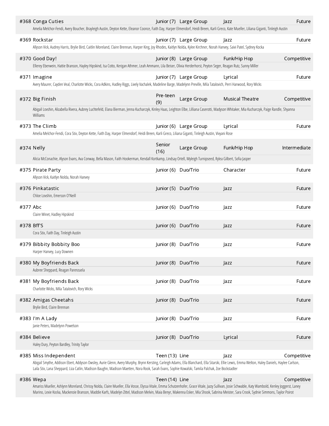|          | #368 Conga Cuties<br>Amelia Melchor-Fendi, Avery Boucher, Brayleigh Austin, Deyton Kette, Eleanor Coonce, Faith Day, Harper Elmendorf, Heidi Breen, Karli Greco, Kate Mueller, Liliana Giganti, Tinleigh Austin                                                                                                                                                                               |                 | Junior (7) Large Group | <b>Jazz</b>            | Future       |
|----------|-----------------------------------------------------------------------------------------------------------------------------------------------------------------------------------------------------------------------------------------------------------------------------------------------------------------------------------------------------------------------------------------------|-----------------|------------------------|------------------------|--------------|
|          | #369 Rockstar                                                                                                                                                                                                                                                                                                                                                                                 |                 | Junior (7) Large Group | Jazz                   | Future       |
|          | Allyson Vick, Audrey Harris, Brylie Bird, Caitlin Moreland, Claire Brennan, Harper King, Joy Rhodes, Kaitlyn Nolda, Kylee Kirchner, Norah Hanvey, Saivi Patel, Sydney Kocka                                                                                                                                                                                                                   |                 |                        |                        |              |
|          | #370 Good Day!                                                                                                                                                                                                                                                                                                                                                                                |                 | Junior (8) Large Group | Funk/Hip Hop           | Competitive  |
|          | Ellerey Eberwein, Hattie Branson, Hayley Hipskind, Isa Cotto, Kerigan Athmer, Leah Ammann, Lila Beiser, Olivia Herderhorst, Peyton Seger, Reagan Rutz, Sunny Miller                                                                                                                                                                                                                           |                 |                        |                        |              |
|          | #371 Imagine<br>Avery Maurer, Cayden Veal, Charlotte Wicks, Cora Adkins, Hadley Riggs, Lively Vachalek, Madeline Barge, Madelynn Preville, Mila Tatalovich, Perri Harwood, Rory Wicks                                                                                                                                                                                                         | Junior (7)      | Large Group            | Lyrical                | Future       |
|          |                                                                                                                                                                                                                                                                                                                                                                                               |                 |                        |                        |              |
|          | #372 Big Finish                                                                                                                                                                                                                                                                                                                                                                               | Pre-teen<br>(9) | Large Group            | <b>Musical Theatre</b> | Competitive  |
|          | Abigail Lovshin, Alizabella Rivera, Aubrey Luchtefeld, Elana Bierman, Jenna Kucharczyk, Kinley Haas, Leighton Elbe, Lilliana Caserotti, Madyson Whitaker, Mia Kucharczyk, Paige Randle, Shyanna<br>Williams                                                                                                                                                                                   |                 |                        |                        |              |
|          | #373 The Climb                                                                                                                                                                                                                                                                                                                                                                                | lunior (6)      | Large Group            | Lyrical                | Future       |
|          | Amelia Melchor-Fendi, Cora Stix, Deyton Kette, Faith Day, Harper Elmendorf, Heidi Breen, Karli Greco, Liliana Giganti, Tinleigh Austin, Vivyani Rose                                                                                                                                                                                                                                          |                 |                        |                        |              |
|          | #374 Nelly                                                                                                                                                                                                                                                                                                                                                                                    | Senior<br>(16)  | Large Group            | Funk/Hip Hop           | Intermediate |
|          | Alicia McConachie, Alyson Evans, Ava Conway, Bella Mason, Faith Hookerman, Kendall Kortkamp, Lindsay Ortell, Myleigh Turnipseed, Rylea Gilbert, Sofia Jasper                                                                                                                                                                                                                                  |                 |                        |                        |              |
|          | #375 Pirate Party                                                                                                                                                                                                                                                                                                                                                                             | Junior (6)      | Duo/Trio               | Character              | Future       |
|          | Allyson Vick, Kaitlyn Nolda, Norah Hanvey                                                                                                                                                                                                                                                                                                                                                     |                 |                        |                        |              |
|          | #376 Pinkatastic<br>Chloe Lovshin, Emerson O'Neill                                                                                                                                                                                                                                                                                                                                            | Junior (5)      | Duo/Trio               | Jazz                   | Future       |
|          |                                                                                                                                                                                                                                                                                                                                                                                               |                 |                        |                        |              |
| #377 Abc | Claire Winet, Hadley Hipskind                                                                                                                                                                                                                                                                                                                                                                 | Junior (6)      | Duo/Trio               | Jazz                   | Future       |
|          | #378 Bff'S                                                                                                                                                                                                                                                                                                                                                                                    | Junior (6)      | Duo/Trio               | <b>Jazz</b>            | Future       |
|          | Cora Stix, Faith Day, Tinleigh Austin                                                                                                                                                                                                                                                                                                                                                         |                 |                        |                        |              |
|          | #379 Bibbity Bobbity Boo                                                                                                                                                                                                                                                                                                                                                                      | Junior (8)      | Duo/Trio               | Jazz                   | Future       |
|          | Harper Hanvey, Lucy Downen                                                                                                                                                                                                                                                                                                                                                                    |                 |                        |                        |              |
|          | #380 My Boyfriends Back                                                                                                                                                                                                                                                                                                                                                                       | Junior (8)      | Duo/Trio               | Jazz                   | Future       |
|          | Aubree Sheppard, Reagan Parenzuela                                                                                                                                                                                                                                                                                                                                                            |                 |                        |                        |              |
|          | #381 My Boyfriends Back<br>Charlotte Wicks, Mila Tatalovich, Rory Wicks                                                                                                                                                                                                                                                                                                                       | Junior (8)      | Duo/Trio               | Jazz                   | Future       |
|          | #382 Amigas Cheetahs                                                                                                                                                                                                                                                                                                                                                                          | Junior (8)      | Duo/Trio               | Jazz                   | Future       |
|          | Brylie Bird, Claire Brennan                                                                                                                                                                                                                                                                                                                                                                   |                 |                        |                        |              |
|          | #383 I'm A Lady                                                                                                                                                                                                                                                                                                                                                                               | Junior (8)      | Duo/Trio               | Jazz                   | Future       |
|          | Janie Peters, Madelynn Powelson                                                                                                                                                                                                                                                                                                                                                               |                 |                        |                        |              |
|          | #384 Believe                                                                                                                                                                                                                                                                                                                                                                                  | Junior (8)      | Duo/Trio               | Lyrical                | Future       |
|          | Haley Dury, Peyton Bardley, Trinity Taylor                                                                                                                                                                                                                                                                                                                                                    |                 |                        |                        |              |
|          | #385 Miss Independent<br>Abigail Smythe, Addison Ebert, Addyson Owsley, Aurie Glenn, Avery Murphy, Brynn Kersting, Carleigh Adams, Ella Blanchard, Ella Sitarski, Ellie Lewis, Emma Welton, Haley Daniels, Haylee Carlson,<br>Laila Stix, Lana Sheppard, Liza Catlin, Madison Baughn, Madison Maetten, Nora Rook, Sarah Evans, Sophie Kowalski, Tamila Palchak, Zoe Bockstadter               | Teen (13) Line  |                        | Jazz                   | Competitive  |
|          | #386 Wepa                                                                                                                                                                                                                                                                                                                                                                                     | Teen (14) Line  |                        | Jazz                   | Competitive  |
|          | Amariss Mueller, Ashlynn Moreland, Chrissy Nolda, Claire Mueller, Ella Vosse, Elyssa Vitale, Emma Schutzenhofer, Grace Vitale, Jazzy Sullivan, Josie Schwable, Katy Wambold, Kenley Joggerst, Laney<br>Marino, Lexie Kocka, Mackenzie Branson, Maddie Karfs, Madelyn Zittel, Madison Melvin, Maia Benyr, Makenna Esker, Mia Shook, Sabrina Meister, Sara Crook, Sydnie Simmons, Taylor Poirot |                 |                        |                        |              |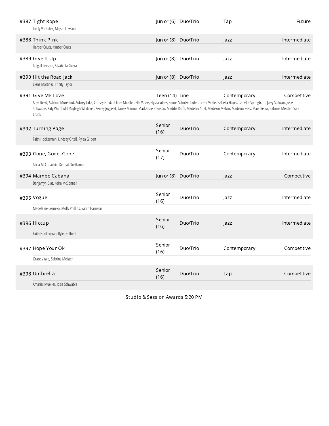| #387 Tight Rope<br>Lively Vachalek, Megan Lawson                                                                                                                                                                                                                                                                                                                                                                             | Junior (6) Duo/Trio |          | Tap          | Future       |
|------------------------------------------------------------------------------------------------------------------------------------------------------------------------------------------------------------------------------------------------------------------------------------------------------------------------------------------------------------------------------------------------------------------------------|---------------------|----------|--------------|--------------|
| #388 Think Pink<br>Harper Couts, Kimber Couts                                                                                                                                                                                                                                                                                                                                                                                | Junior (8) Duo/Trio |          | Jazz         | Intermediate |
| #389 Give It Up<br>Abigail Lovshin, Alizabella Rivera                                                                                                                                                                                                                                                                                                                                                                        | Junior (8) Duo/Trio |          | Jazz         | Intermediate |
| #390 Hit the Road Jack<br>Elena Martinez, Trinity Taylor                                                                                                                                                                                                                                                                                                                                                                     | Junior (8) Duo/Trio |          | Jazz         | Intermediate |
| #391 Give ME Love<br>Anya Reed, Ashlynn Moreland, Aubrey Lake, Chrissy Nolda, Claire Mueller, Ella Vosse, Elyssa Vitale, Emma Schutzenhofer, Grace Vitale, Isabella Hayes, Isabella Springborn, Jazzy Sullivan, Josie<br>Schwable, Katy Wambold, Kayleigh Whitaker, Kenley Joggerst, Laney Marino, Mackenzie Branson, Maddie Karfs, Madelyn Zittel, Madison Melvin, Madison Ross, Maia Benyr, Sabrina Meister, Sara<br>Crook | Teen (14) Line      |          | Contemporary | Competitive  |
| #392 Turning Page<br>Faith Hookerman, Lindsay Ortell, Rylea Gilbert                                                                                                                                                                                                                                                                                                                                                          | Senior<br>(16)      | Duo/Trio | Contemporary | Intermediate |
| #393 Gone, Gone, Gone                                                                                                                                                                                                                                                                                                                                                                                                        | Senior<br>(17)      | Duo/Trio | Contemporary | Intermediate |
| Alicia McConachie, Kendall Kortkamp<br>#394 Mambo Cabana<br>Benjamyn Diaz, Keira McConnell                                                                                                                                                                                                                                                                                                                                   | Junior (8)          | Duo/Trio | Jazz         | Competitive  |
| #395 Vogue                                                                                                                                                                                                                                                                                                                                                                                                                   | Senior<br>(16)      | Duo/Trio | Jazz         | Intermediate |
| Madeleine Cerneka, Molly Phillips, Sarah Harrison<br>#396 Hiccup                                                                                                                                                                                                                                                                                                                                                             | Senior<br>(16)      | Duo/Trio | Jazz         | Intermediate |
| Faith Hookerman, Rylea Gilbert<br>#397 Hope Your Ok                                                                                                                                                                                                                                                                                                                                                                          | Senior<br>(16)      | Duo/Trio | Contemporary | Competitive  |
| Grace Vitale, Sabrina Meister<br>#398 Umbrella<br>Amariss Mueller, Josie Schwable                                                                                                                                                                                                                                                                                                                                            | Senior<br>(16)      | Duo/Trio | Tap          | Competitive  |

Studio & Session Awards 5:20 PM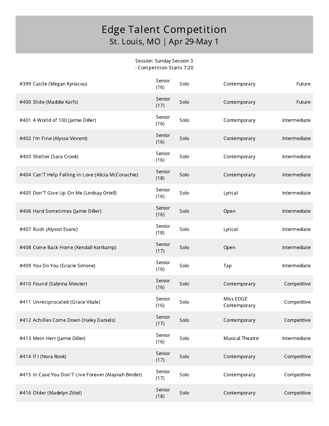#### Session: Sunday Session 3 - Competition Starts 7:20

| #399 Castle (Megan Kyriacou)                         | Senior<br>(16) | Solo | Contemporary              | Future       |
|------------------------------------------------------|----------------|------|---------------------------|--------------|
| #400 Slide (Maddie Karfs)                            | Senior<br>(17) | Solo | Contemporary              | Future       |
| #401 A World of 100 (Jamie Diller)                   | Senior<br>(16) | Solo | Contemporary              | Intermediate |
| #402 I'm Fine (Alyssa Vincent)                       | Senior<br>(16) | Solo | Contemporary              | Intermediate |
| #403 Shelter (Sara Crook)                            | Senior<br>(16) | Solo | Contemporary              | Intermediate |
| #404 Can'T Help Falling in Love (Alicia McConachie)  | Senior<br>(18) | Solo | Contemporary              | Intermediate |
| #405 Don'T Give Up On Me (Lindsay Ortell)            | Senior<br>(16) | Solo | Lyrical                   | Intermediate |
| #406 Hard Sometimes (Jamie Diller)                   | Senior<br>(16) | Solo | Open                      | Intermediate |
| #407 Rush (Alyson Evans)                             | Senior<br>(18) | Solo | Lyrical                   | Intermediate |
| #408 Come Back Home (Kendall Kortkamp)               | Senior<br>(17) | Solo | Open                      | Intermediate |
| #409 You Do You (Gracie Simone)                      | Senior<br>(16) | Solo | Tap                       | Intermediate |
| #410 Found (Sabrina Meister)                         | Senior<br>(16) | Solo | Contemporary              | Competitive  |
| #411 Unreciprocated (Grace Vitale)                   | Senior<br>(16) | Solo | Miss EDGE<br>Contemporary | Competitive  |
| #412 Achilles Come Down (Haley Daniels)              | Senior<br>(17) | Solo | Contemporary              | Competitive  |
| #413 Mein Herr (Jamie Diller)                        | Senior<br>(16) | Solo | <b>Musical Theatre</b>    | Intermediate |
| #414 If I (Nora Rook)                                | Senior<br>(17) | Solo | Contemporary              | Competitive  |
| #415 In Case You Don'T Live Forever (Alaynah Binder) | Senior<br>(17) | Solo | Contemporary              | Competitive  |
| #416 Older (Madelyn Zittel)                          | Senior<br>(18) | Solo | Contemporary              | Competitive  |